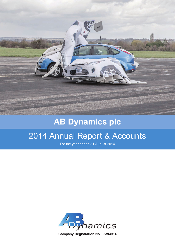

## **AB Dynamics plc**

# 2014 Annual Report & Accounts

For the year ended 31 August 2014



**Company Registration No. 08393914**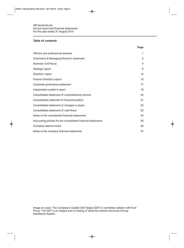#### **Table of contents**

|                                                               | Page |
|---------------------------------------------------------------|------|
| Officers and professional advisers                            | 1    |
| Chairman's & Managing Director's statement                    | 2    |
| <b>Business Unit Focus</b>                                    | 4    |
| Strategic report                                              | 6    |
| Directors' report                                             | 12   |
| Finance Director's report                                     | 15   |
| Corporate governance statement                                | 17   |
| Independent auditor's report                                  | 18   |
| Consolidated statement of comprehensive income                | 20   |
| Consolidated statement of financial position                  | 21   |
| Consolidated statement of changes in equity                   | 22   |
| Consolidated statement of cash flows                          | 23   |
| Notes to the consolidated financial statements                | 24   |
| Accounting policies for the consolidated financial statements | 26   |
| Company balance sheet                                         | 46   |
| Notes to the company financial statements                     | 47   |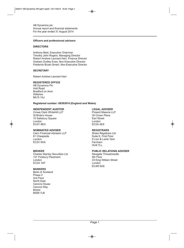#### **Officers and professional advisers**

#### **DIRECTORS**

Anthony Best, Executive Chairman Timothy John Rogers, Managing Director Robert Andrew Leonard Hart, Finance Director Graham Dudley Eves, Non-Executive Director Frederick Bryan Smart, Non-Executive Director

#### **SECRETARY**

Robert Andrew Leonard Hart

#### **REGISTERED OFFICE**

AB Dynamics Plc Holt Road Bradford on Avon **Wiltshire** BA15 1AJ

#### **Registered number: 08393914 (England and Wales)**

## **INDEPENDENT AUDITOR<br>
Crowe Clark Whitehill LLP Crowe Clark Whitehill LLP Pinsent Masons LLP**

Crowe Clark Whitehill LLP St Bride's House 30 Crown Place<br>
10 Salisbury Square<br>
10 Salisbury Square 10 Salisbury Square **Earl Street Street Street Street Street Street Street Street Street Street Street Street Str**<br>Econdon London EC4Y 8EH EC2A 4ES

**NOMINATED ADVISER**<br>Cairn Financial Advisers LLP Share Registrars Ltd Cairn Financial Advisers LLP 61 Cheapside Suite E, First Floor London 9 Lion & Lamb Yard EC2V 6AX Farnham

Charles Stanley Securities Ltd Newgate Threadneedle 131 Finsbury Pavement 5th Floor London **1986** London **33 King William Street** EC2A 1NT London

#### **BANKERS**

Bank of Scotland Phase 2 2nd Floor North East Canons House Canons Way Bristol **BS99 7LB** 

GU9 7LL

#### **BROKER PUBLIC RELATIONS ADVISER**

EC4R 9AS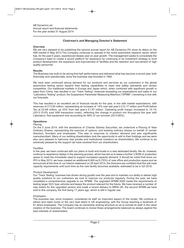#### **Chairman's and Managing Director's Statement**

#### **Overview**

We are very pleased to be publishing the second annual report for AB Dynamics Plc since its debut on the AIM market in May 2013.The Company continues to operate in the niche automotive research sector which has, for the past 5 years, experienced steady year on year growth. The management seeks to consolidate the Company's base to create a sound platform for expansion by continuing in its investment strategy to fund product development, the expansion and improvement of facilities and the retention and recruitment of high quality personnel.

#### **Results**

The Business has built on its strong first half performance and delivered what has become a record year, both financially and operationally, since the business was founded in 1982.

We have seen continued strong demand for our products and services as our customers in the global automotive testing sector expand their testing capabilities to meet new safety standards and remain competitive. Our traditional markets in Europe and Japan which, when combined with significant growth in sales from China, has resulted in our "Track Testing" revenues exceeding our expectations and sales of our "Laboratory Testing" product, the Suspension Parameter Measuring Machine ("SPMM" ) remaining in line with our forecasts.

This has resulted in an excellent set of financial results for the year, in line with market expectations, with revenues of £13.85 million, representing an increase of 14% over last year's £12.17 million and Profit before Tax at £2.68 million, up 43% from last year's £1.87 million. Operating profit margin increased to 19.1% (2013:15.6% post AIM transaction costs), reflecting the change in product mix throughout the year with Laboratory Test equipment now accounting for 68% of our turnover (2013:60%).

#### **Operations**

#### *Placing*

On the 5 June 2014, with the assistance of Charles Stanley Securities, we undertook a Placing of New Ordinary Shares, representing the exercise of options, and existing ordinary shares on behalf of certain directors, founders and employees. This was in response to investor demand and was significantly oversubscribed. Many of our existing shareholders took the opportunity to add to their holdings and we were also very pleased to welcome new private and institutional investors as shareholders. We continue to be extremely pleased by the support we have received from our shareholders.

#### *Facilities*

In the year, we have continued with our plans to build and locate to a new dedicated facility. We do, however, continue to experience delays in the planning process, which has led us to lease a further 3,500ft of production space to meet the immediate need to support increased capacity demand. It should be noted that since our IPO in May 2013, we have created an additional 6,900 sq ft (70%) of new office and production space and as announced at the time of our Interim statement on 28 April 2014, the Directors are confident that this will meet capacity requirements until such time as the new facility becomes available, estimated to be in Q3 2016.

#### *Product Development*

Our "Track Testing" business has shown strong growth over the year and to maintain our ability to deliver high quality solutions to our customers we look to improve our products regularly. During the year, we have completed a comprehensive upgrade to our SPMM. The upgraded SPMM 5000 meets the requirements of testing larger SUV type vehicles and keeps the product relevant for the future. We have received a number of new orders for this upgraded version and made a recent delivery to MIRA UK, the second SPMM we have sold to this company, the first being 17 years ago, which is still in regular use.

#### *Employees*

The business has, since inception, considered its staff an important aspect of the model. We continue to attract and retain some of the very best talent in UK engineering, with the Group reaching a landmark of 61 direct employees. The Company has an ownership sharing structure so as to include its staff in the value creation of the business. The board continues to review these arrangements balanced as always against the best interests of shareholders.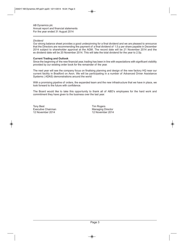#### *Dividend*

Our strong balance sheet provides a good underpinning for a final dividend and we are pleased to announce that the Directors are recommending the payment of a final dividend of 1.5 p per share payable in December 2014 subject to shareholder approval at the AGM. The record date will be 21 November 2014 and the ex dividend date will be 20 November 2014. This will take the total dividend for the year to 2.5p.

#### **Current Trading and Outlook**

Since the beginning of the new financial year, trading has been in line with expectations with significant visibility provided by our existing order book for the remainder of the year.

The next year will see the company focus on finalising planning and design of the new factory HQ near our current facility in Bradford on Avon. We will be participating in a number of Advanced Driver Assistance Systems ( ADAS) demonstrations around the world

With a promising pipeline of orders, the expanded team and the new infrastructure that we have in place, we look forward to the future with confidence.

The Board would like to take this opportunity to thank all of ABD's employees for the hard work and commitment they have given to the business over the last year.

Tony Best **Tim Rogers** Executive Chairman Managing Director 12 November 2014 12 November 2014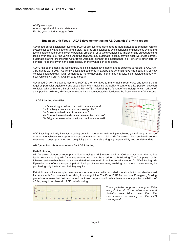### **Business Unit Focus – ADAS development using AB Dynamics' driving robots**

Advanced driver assistance systems (ADAS) are systems developed to automate/adapt/enhance vehicle systems for safety and better driving. Safety features are designed to avoid collisions and accidents by offering technologies that alert the driver to potential problems, or to avoid collisions by implementing safeguards and taking over control of the vehicle. Adaptive features may automate lighting, provide adaptive cruise control, automate braking, incorporate GPS/traffic warnings, connect to smartphones, alert driver to other cars or dangers, keep the driver in the correct lane, or show what is in blind spots.

ADAS has been among the fastest growing field in automotive market and is expected to register a CAGR of 34% during 2013-2017. Currently, developed countries in Europe and America have had nearly 8% of new vehicles equipped with ADAS, compared to merely about 2% in emerging markets. It is predicted that 50% of new vehicles will carry ADAS by 2022 globally.

Advanced Driver Assistance Systems (ADAS) are now fitted to many mainstream cars, and testing them requires particular equipment and capabilities, often including the ability to control relative position between vehicles. With both future EuroNCAP and US NHTSA prioritising the fitment of technology to warn drivers of an impending collision, AB Dynamics robots have been adopted worldwide as the first choice for ADAS testing.

#### **ADAS testing checklist:**

- **1** Drive along a defined path with 1 cm accuracy?
- **2** Precisely maintain a vehicle speed profile?
- **3** Brake at a fixed rate of deceleration?
- **4** Control the relative distance between two vehicles?
- **5** Trigger an event when multiple conditions are met?



ADAS testing typically involves creating complex scenarios with multiple vehicles (or soft targets) to see whether the vehicle's own systems detect an imminent crash. Using AB Dynamics robots enable these test scenarios to be programmed and run quickly and accurately, giving high repeatability and consistent data.

#### **AB Dynamics robots – solutions for ADAS testing**

#### **Path Following**

AB Dynamics pioneered robot path-following using a GPS motion-pack in 2001 and has been the market leader ever since. Any AB Dynamics steering robot can be used for path-following. The Company's pathfollowing software has been regularly updated to include all of the functionality needed for ADAS testing. AB Dynamics now offers a range of path-following software modules, enabling customers to save money by purchasing only the features that they require.

Path-following allows complex manoeuvres to be repeated with unrivalled precision, but it can also be used for very simple functions such as driving in a straight line. The EuroNCAP Autonomous Emergency Braking procedure requires that test vehicle and the towed target should both achieve a lateral position deviation of <0.1m, easy to achieve with ABD path-following.

| $\frac{1}{2}$     |    |    |    |    |     |     |                |     |     |     |     |     |     |     |    |
|-------------------|----|----|----|----|-----|-----|----------------|-----|-----|-----|-----|-----|-----|-----|----|
| $0 -$<br>positi   |    |    |    |    |     |     |                |     |     |     |     |     |     |     |    |
| $-0.1 -$          |    |    |    |    |     |     |                |     |     |     |     |     |     |     |    |
| 14.95<br>$-0.2 -$ |    |    |    |    |     |     |                |     |     |     |     |     |     |     |    |
|                   | 20 | 40 | 60 | 80 | 100 | 120 | 140            | 160 | 180 | 200 | 220 | 240 | 260 | 280 | 30 |
|                   |    |    |    |    |     |     | X position [m] |     |     |     |     |     |     |     |    |

*Three path-following runs along a 300m straight line at 80kph. Maximum lateral deviation was 18mm, less than the measurement uncertainty of the GPS motion pack!*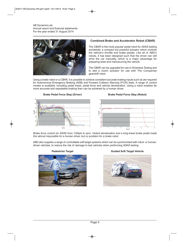

### **Combined Brake and Accelerator Robot (CBAR)**

The CBAR is the most popular pedal robot for ADAS testing worldwide; a compact but powerful actuator which controls the vehicle's throttle and brake pedals. Like all of ABD's robots, it has been designed such that the driver can still drive the car manually, which is a major advantage for preparing tests and manoeuvring the vehicle.

The CBAR can be upgraded for use in Driverless Testing and to add a clutch actuator for use with The Companies gearshift robot.

Using a brake robot or a CBAR, it is possible to achieve consistent accurate braking inputs such as are required for Autonomous Emergency Braking (AEB) and Forward Collision Warning (FCW) tests. A range of control modes is available, including pedal travel, pedal force and vehicle deceleration. Using a robot enables far more accurate and repeatable braking than can be achieved by a human driver.



*Brake force control (to 400N) from 130kph to zero. Violent deceleration and a long-travel brake pedal made this almost impossible for a human driver, but no problem for a brake robot.*

ABD also supplies a range of controllable soft target systems which can be synchronised with robot- or humandriven vehicles, to reduce the risk of damage to test vehicles when performing ADAS testing.



#### **Pedestrian Target Community Community Community Community Community Community Community Community Community Community Community Community Community Community Community Community Community Community Community Community Com**

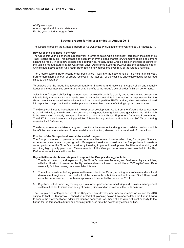#### **Strategic report for the year ended 31 August 2014**

The Directors present the Strategic Report of AB Dynamics Plc Limited for the year ended 31 August 2014.

#### **Review of the Business in the year**

The Group this year experienced a record year in terms of sales, with a significant increase in the sales of its Track Testing products. This increase has been driven by the global market for Automotive Testing equipment expanding rapidly in both new sectors and geographies, notably in the Group's case, in the field of testing of the vehicle manufacturers latest Advanced Driver Assistance Systems (ADAS) and the continued rise of China's automotive sector. As a result Track Testing now represents over 68% of the Group's revenue.

The Group's current Track Testing order book takes it well into the second half of the next financial year. Furthermore a large amount of orders received in the later part of the year, has unavoidably led to longer lead times to the customer.

To address this, the Group has focussed heavily on improving and resolving its supply chain and capacity issues and these activities are starting to bring benefits to the Group's overall order fulfilment performance.

Sales in the Group's Lab Testing business have remained broadly flat, partly due to competitive pressure in this relatively mature sector and partly down to capacity constraints in the factory. In response to this, the Group recently announced to the industry that it had redeveloped the SPMM product, which in turn has allowed it to reposition the product in the market place and streamline the manufacturing/supply chain process.

The Group continues to invest heavily in new product development. Aside from the aforementioned upgrade to the SPMM, this year we have seen orders for a new generation of guided soft target vehicle, the GST, which is the culmination of nearly two years of work in collaboration with our US partners Dynamics Research Inc. The GST fits neatly into our existing portfolio of Track Testing products and adds to our Soft Target offering essential for ADAS testing.

The Group as ever, undertakes a program of continual improvement and upgrades to existing products, which benefit the customers in terms of better usability and function, allowing us to stay ahead of competition.

#### **Position of the Group's business at the end of the year**

The Group continues to operate in the niche automotive research sector which has, for the past 5 years, experienced steady year on year growth. Management seeks to consolidate the Group's base to create a sound platform for the Group's expansion by investing in product development, facilities and retaining and recruiting high quality personnel. Measurements of the Group's performance are provided in the Key Performance Indicators in this section.

#### **Key activities under taken this year to support the Group's strategy include:**

- 1. The development of, and expansion in, the Group's core manufacturing and final assembly capabilities, with the utilisation of new Annex facility onsite and a commitment to an additional 3500 sq ft of new offsite assembly facilities coming on stream later this year.
- 2. The active recruitment of key personnel to new roles in the Group, including new software and electrical development engineers, combined with skilled assembly technicians and toolmakers. Our fulltime head count has now reached 61, with new appointments expected by the end of 2014.
- 3. Significant effort improving the supply chain, order performance monitoring and business management systems, has led to initial shortening of delivery times and an increase in the units delivered.

The Group's new enlarged facility at the Kingston Farm development nearby remains on course for 2016 subject to final S106 approval. It should be noted that, planning delays have necessitated the Group having to secure the aforementioned additional facilities nearby at Holt, these should give sufficient capacity to the Group for the foreseeable future and certainly until such time the new facility comes on line.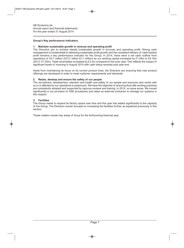#### **Group's Key performance indicators**

#### **1. Maintain sustainable growth in revenue and operating profit**

The Directors aim to achieve steady sustainable growth in turnover and operating profit. Strong cash management is fundamental to delivering sustainable profit growth and the consistent delivery of cash-backed profit remains a key performance indicator for the Group. In 2014, there were a net cash outflow from operations of £0.7 million (2013: inflow £2.1 million) as our working capital increased by £1.94m to £9.19m (2013: £7.25m). Trade receivables increased by £3.2m compared to the prior year. This reflects the impact of significant levels of invoicing in August 2014 with cash being received post year end.

Aside from maintaining its focus on its current product lines, the Directors are ensuring that new product offerings are developed in order to meet customer requirements and demands.

#### **2. Retain, develop and ensure the safety of our people**

The recruitment, development, retention and health and safety of our people and everyone who works with us or is affected by our operations is paramount. We have the objective of ensuring that safe working practices are consistently adopted and supported by rigorous reviews and training. In 2014, no issue arose. We moved significantly in our provision of HSE procedures and retain an external contractor to manage our systems in this respect.

#### **3. Facilities**

The Group needs to expand its factory space over time and this year has added significantly to the capacity of the Group. The Directors remain focused on increasing the facilities further, as explained previously in this section.

These matters remain key areas of focus for the forthcoming financial year.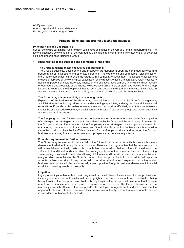#### **Principal risks and uncertainties facing the business**

#### **Principal risks and uncertainties**

Set out below are certain risk factors which could have an impact on the Group's long term performance. The factors discussed below should not be regarded as a complete and comprehensive statement of all potential risks and uncertainties facing the Group.

#### **1. Risks relating to the business and operations of the group**

#### **The Group is reliant on key executives and personnel**

The Group's business, development and prospects are dependent upon the continued services and performance of its Directors and other key personnel. The experience and commercial relationships of the Group's personnel help provide the Group with a competitive advantage. The Directors believe that the loss of services of any existing key executives, for any reason, or failure to attract and retain necessary additional personnel, could adversely impact on the business, development, financial condition, results of operations and prospects of the Group. However, several members of staff have worked for the Group for over 20 years and the Group continues to recruit and develop intelligent and motivated individuals. In addition, key man insurance exists for all key personnel in the Group, save for Anthony Best.

#### **The Group may not successfully manage its growth**

Expansion of the business of the Group may place additional demands on the Group's management, administrative and technological resources and marketing capabilities, and may require additional capital expenditure. If the Group is unable to manage any such expansion effectively, then this may adversely impact the business, development, financial condition, results of operations, prospects, profits, cash flow and reputation of the Group.

The Group's growth and future success will be dependent to some extent on the successful completion of such expansion strategies proposed to be undertaken by the Group and the sufficiency of demand for the Group's products. The execution of the Group's expansion strategies may also place a strain on its managerial, operational and financial reserves. Should the Group fail to implement such expansion strategies or should there be insufficient demand for the Group's products and services, the Group's business operations, financial performance and prospects may be adversely affected.

#### **Potential requirement for further investment**

The Group may require additional capital in the future for expansion, its activities and/or business development, whether from equity or debt sources. There can be no guarantee that the necessary funds will be available on a timely basis, on favourable terms, or at all, or that such funds if raised, would be sufficient. If additional funds are raised by issuing equity securities, material dilution to the existing shareholdings may result. The level and timing of future expenditure will depend on a number of factors, many of which are outside of the Group's control. If the Group is not able to obtain additional capital on acceptable terms, or at all, it may be forced to curtail or abandon such expansion, activities and/or business development which could adversely impact upon the Group, its business, development, financial condition, operating results or prospects.

#### **Litigation**

Legal proceedings, with or without merit, may arise from time to time in the course of the Group's business, including in connection with intellectual property rights. The Directors cannot preclude litigation being brought against the Group and any litigation brought against the Group could have a material adverse effect on the financial condition, results or operations of the Group. The Group's business may be materially adversely affected if the Group and/or its employees or agents are found not to have met the appropriate standard of care or exercised their discretion or authority in a prudent or appropriate manner in accordance with accepted standards.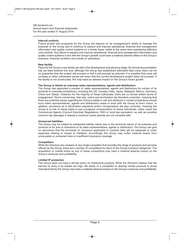#### **Internal controls**

Future growth and prospects for the Group will depend on its management's ability to manage the business of the Group and to continue to expand and improve operational, financial and management information and quality control systems on a timely basis, whilst at the same time maintaining effective cost controls. Any failure to expand and improve operational, financial and management information and quality control systems in line with the Group's growth could have a material adverse effect on the Group's business, financial condition and results of operations.

#### **New facility**

Plans for the Group's new facility are still in the development and planning stage. No formal documentation has yet been entered into and, although the Group has established estimated total costs, there can be no guarantee that the project will proceed or that it will proceed as planned. It is possible that costs will increase or other unforeseen issues will mean that the current development project does not proceed. If the facility is not constructed, this may have an adverse impact on the Group's future growth.

#### **The Group is reliant on overseas sales representatives, agents and distributors**

The Group has appointed a number of sales representatives, agents and distributors for certain of its products in overseas jurisdictions, including the US, Canada, India, Japan, Malaysia, Mexico, Germany, China and Taiwan. However, for the majority of these individuals, there are no formal written terms of engagement. Terms concerning, inter alia, notice and termination are therefore uncertain, meaning that there are potential issues regarding the Group's ability to sell and distribute in certain jurisdictions should such sales representatives, agents and distributors cease to work with the Group at short notice. In addition, provisions as to termination payments and/or compensation are also uncertain, meaning the Group is at risk of being liable to pay uncapped compensation to these individuals, either under the Commercial Agents (Council Directive) Regulations 1993 or local law equivalent, as well as possible common law damages if statutory minimum notice periods are not complied with.

#### **Uninsured liabilities**

The Group may be subject to substantial liability claims due to the technical nature of its business and products or for acts or omissions of its sales representatives, agents or distributors. The Group can give no assurance that the proceeds of insurance applicable to covered risks will be adequate to cover expenses relating to losses or liabilities. Accordingly, the Group may suffer material losses from uninsurable or uninsured risks or insufficient insurance coverage.

#### **Competitors**

While the Directors are unaware of any single competitor that provides the range of products and services offered by the Group, there are a number of competitors for each of the Group's product categories. The acquisition of market share by any of these competitors may have a material adverse impact on the Group's revenues and profitability.

#### **Limited IP protection**

The Group does not have a formal policy on intellectual property. While the Directors believe that the barriers to entry in its market are high, the ability of a competitor to develop similar products to those manufactured by the Group may have a material adverse impact on the Group's revenues and profitability.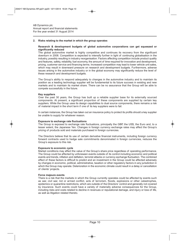#### **2. Risks relating to the market in which the group operates**

#### **Research & development budgets of global automotive corporations can get squeezed or significantly reduced**

The global automotive market is highly competitive and continues its recovery from the significant downturn in 2008. Competition is expected to intensify further in light of continuing globalisation in the industry, possibly resulting in industry reorganisation. Factors affecting competition include product quality and features, safety, reliability, fuel economy, the amount of time required for innovation and development, pricing, customer service and financing terms. Increased competition may lead to lower vehicle unit sales, which may result in downward pressure on research and development budgets. Furthermore, adverse issues arising in the automotive industry or in the global economy may significantly reduce the level of these research and development budgets.

The Group's ability to respond adequately to changes in the automotive industry and to maintain its position as a leading technology supplier will be fundamental to its future success in existing and new markets and to maintain its market share. There can be no assurance that the Group will be able to compete successfully in the future.

#### **Key suppliers**

Over the past 30 years, the Group has built up a reliable supplier base for its externally sourced components. At present, a significant proportion of these components are supplied by certain key suppliers. While the Group uses its design capabilities to dual source components, there remains a risk of material impact in the short term if one of its key suppliers were to fail.

In certain instances, the Group has taken out an insurance policy to protect its profits should a key supplier be unable to supply for whatever reason.

#### **Exposure to exchange rate fluctuations**

The Group is exposed to exchange rate fluctuations, principally the GBP, the US\$, the Euro and, to a lesser extent, the Japanese Yen. Changes in foreign currency exchange rates may affect the Group's pricing of products sold and materials purchased in foreign currencies.

The Directors believe that its use of certain derivative financial instruments, including foreign currency forward contracts used to hedge sale commitments denominated in foreign currencies, reduces the Group's exposure to this risk.

#### **Exposure to economic cycle**

Market conditions may affect the value of the Group's share price regardless of operating performance. The Group could be affected by unforeseen events outside of its control including economic and political events and trends, inflation and deflation, terrorist attacks or currency exchange fluctuation. The combined effect of these factors is difficult to predict and an investment in the Group could be affected adversely by changes in economic, political, administrative, taxation or other regulatory factors in any jurisdiction in which the Group may operate. Deterioration in the economic climate could result in a delay or cancellation of clients' projects.

#### **Force majeure events**

There is a risk that the markets in which the Group currently operates could be affected by events such as war, civil war, riot or armed conflict, acts of terrorism, floods, explosions or other catastrophes, epidemics or quarantine restrictions, which are outside of the Directors' control and generally not covered by insurance. Such events could have a variety of materially adverse consequences for the Group, including risks and costs related to decline in revenues or reputational damage, and injury or loss of life, as well as litigation related thereto.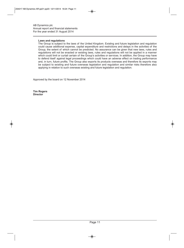#### **Laws and regulations**

The Group is subject to the laws of the United Kingdom. Existing and future legislation and regulation could cause additional expense, capital expenditure and restrictions and delays in the activities of the Group, the extent of which cannot be predicted. No assurance can be given that new laws, rules and regulations will not be enacted or existing laws, rules and regulations will not be applied in a manner which could limit or curtail certain of the Group's activities or services. In addition, the Group may have to defend itself against legal proceedings which could have an adverse effect on trading performance and, in turn, future profits. The Group also exports its products overseas and therefore its exports may be subject to existing and future overseas legislation and regulation and similar risks therefore also applying in relation to such overseas existing and future legislation and regulation.

Approved by the board on 12 November 2014

**Tim Rogers Director**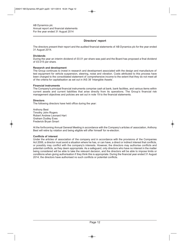#### **Directors' report**

The directors present their report and the audited financial statements of AB Dynamics plc for the year ended 31 August 2014.

#### **Dividends**

During the year an interim dividend of £0.01 per share was paid and the Board has proposed a final dividend of £0.015 per share.

#### **Research and development**

The Group continues to invest in research and development associated with the design and manufacture of test equipment for vehicle suspension, steering, noise and vibration. Costs attributed to this process have been charged to the consolidated statement of comprehensive income to the extent that they do not meet all of the criteria for capitalisation as set out in IAS 38 'Intangible Assets'.

#### **Financial instruments**

The Company's principal financial instruments comprise cash at bank, bank facilities, and various items within current assets and current liabilities that arise directly from its operations. The Group's financial risk management objectives and policies are set out in note 19 to the financial statements.

#### **Directors**

The following directors have held office during the year:

Anthony Best Timothy John Rogers Robert Andrew Leonard Hart Graham Dudley Eves Frederick Bryan Smart

At the forthcoming Annual General Meeting in accordance with the Company's articles of association, Anthony Best will retire by rotation and being eligible will offer himself for re-election.

#### **Conflicts of interest**

Under the articles of association of the company and in accordance with the provisions of the Companies Act 2006, a director must avoid a situation where he has, or can have, a direct or indirect interest that conflicts, or possibly may conflict with the company's interests. However, the directors may authorise conflicts and potential conflicts, as they deem appropriate. As a safeguard, only directors who have no interest in the matter being considered will be able to take the relevant decision, and the directors will be able to impose limits or conditions when giving authorisation if they think this is appropriate. During the financial year ended 31 August 2014, the directors have authorised no such conflicts or potential conflicts.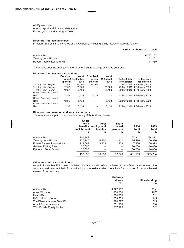#### **Directors' interests in shares**

Directors' interests in the shares of the Company, including family interests, were as follows:

#### **Ordinary shares of 1p each**

| <b>Anthony Best</b>        | 6,797,107 |
|----------------------------|-----------|
| Timothy John Rogers        | 152,101   |
| Robert Andrew Leonard Hart | 11,389    |

There have been no changes in the Directors' shareholdings since the year end.

| Directors' interests in share options |                            |                                   |                                        |                            |                                      |                             |
|---------------------------------------|----------------------------|-----------------------------------|----------------------------------------|----------------------------|--------------------------------------|-----------------------------|
|                                       | <b>Exercise</b><br>(pence) | As at<br>price1 September<br>2013 | <b>Exercised</b><br>during<br>the year | As at<br>31 August<br>2014 | <b>Earliest date</b><br>for exercise | Latest date<br>for exercise |
| Timothy John Rogers                   | 12.52                      | 186,100                           | 186,100                                |                            |                                      | 22 May 2014 1 February 2023 |
| Timothy John Rogers                   | 12.52                      | 186.100                           | $\overline{\phantom{0}}$               | 186,100                    |                                      | 22 May 2015 1 February 2023 |
| Timothy John Rogers                   | 12.52                      | 186.100                           | $\overline{\phantom{m}}$               | 186,100                    |                                      | 22 May 2016 1 February 2023 |
| <b>Robert Andrew Leonard</b>          |                            |                                   |                                        |                            |                                      |                             |
| Hart                                  | 12.52                      | 5.133                             | 5,133                                  |                            |                                      | 22 May 2014 1 February 2023 |
| Robert Andrew Leonard                 |                            |                                   |                                        |                            |                                      |                             |
| Hart                                  | 12.52                      | 5.133                             |                                        | 5,133                      |                                      | 22 May 2015 1 February 2023 |
| <b>Robert Andrew Leonard</b>          |                            |                                   |                                        |                            |                                      |                             |
| Hart                                  | 12.52                      | 5.134                             |                                        | 5.134                      |                                      | 22 May 2016 1 February 2023 |

#### **Directors' remuneration and service contracts**

The remuneration paid to the directors during 2014 is shown below:

|                                   | <b>Short</b><br>term<br>(Incl. bonus) | <b>Post</b><br>benefits employment<br>benefits<br>£ | <b>Share</b><br>based<br>payments | 2014<br><b>Total</b><br>£ | 2013<br><b>Total</b><br>£ |
|-----------------------------------|---------------------------------------|-----------------------------------------------------|-----------------------------------|---------------------------|---------------------------|
| <b>Anthony Best</b>               | 107,841                               |                                                     |                                   | 107,841                   | 84,471                    |
| Timothy John Rogers               | 177,245                               | 6,300                                               | 11,941                            | 195,486                   | 150,390                   |
| <b>Robert Andrew Leonard Hart</b> | 113,569                               | 3,938                                               | 329                               | 117,836                   | 100,373                   |
| <b>Graham Dudley Eves</b>         | 30,000                                |                                                     |                                   | 30,000                    | 10,000                    |
| <b>Frederick Bryan Smart</b>      | 30,000                                |                                                     |                                   | 30,000                    | 10,000                    |
|                                   | 458,655                               | 10,238                                              | 12,270                            | 481,163                   | 355,234                   |

#### **Other substantial shareholdings**

As at 11 November 2014, being the latest practicable date before the issue of these financial statements, the company had been notified of the following shareholdings which constitute 3% or more of the total issued shares of the company.

|                                   | <b>Ordinary</b><br>shares<br>No. | Shareholding<br>% |
|-----------------------------------|----------------------------------|-------------------|
| <b>Anthony Best</b>               | 5,597,107                        | 33.4              |
| Anne Middleton                    | 1,800,000                        | 10.7              |
| Naemi Best                        | 1,200,000                        | 7.2               |
| UK Multicap Income                | 1,088,539                        | 6.5               |
| The Diverse Income Trust Plc      | 920,877                          | 5.5               |
| Amati Global Investors            | 651,960                          | 3.8               |
| <b>YFM Private Equity Limited</b> | 537,175                          | 3.2               |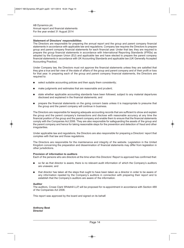#### **Statement of Directors' responsibilities**

The Directors are responsible for preparing the annual report and the group and parent company financial statements in accordance with applicable law and regulations. Company law requires the Directors to prepare group and parent company financial statements for each financial year. Under that law, they are required to prepare the group financial statements in accordance with International Reporting Standards (IFRSs) as adopted by the European Union (EU) and applicable law and have elected to prepare the parent company financial statements in accordance with UK Accounting Standards and applicable law (UK Generally Accepted Accounting Practice).

Under Company law, the Directors must not approve the financial statements unless they are satisfied that they give a true and fair view of the state of affairs of the group and parent company and of their profit or loss for that year. In preparing each of the group and parent company financial statements, the Directors are required to:

- select suitable accounting policies and then apply them consistently;
- make judgments and estimates that are reasonable and prudent;
- state whether applicable accounting standards have been followed, subject to any material departures disclosed and explained in the financial statements; and
- prepare the financial statements on the going concern basis unless it is inappropriate to presume that the group and the parent company will continue in business.

The Directors are responsible for keeping adequate accounting records that are sufficient to show and explain the group and the parent company's transactions and disclose with reasonable accuracy at any time the financial position of the group and the parent company and enable them to ensure that the financial statements comply with the Companies Act 2006. They are also responsible for safeguarding the assets of the group and the parent company and hence for taking reasonable steps for the prevention and detection of fraud and other irregularities.

Under applicable law and regulations, the Directors are also responsible for preparing a Directors' report that complies with that law and those regulations.

The Directors are responsible for the maintenance and integrity of the website. Legislation in the United Kingdom concerning the preparation and dissemination of financial statements may differ from legislation in other jurisdictions.

#### **Provision of information to auditors**

Each of the persons who are directors at the time when this Directors' Report is approved has confirmed that:

- so far as that director is aware, there is no relevant audit information of which the Company's auditors are unaware; and
- that director has taken all the steps that ought to have been taken as a director in order to be aware of any information needed by the Company's auditors in connection with preparing their report and to establish that the Company's auditors are aware of the information.

#### **Auditor**

The auditors, Crowe Clark Whitehill LLP, will be proposed for re-appointment in accordance with Section 489 of the Companies Act 2006.

This report was approved by the board and signed on its behalf.

**Anthony Best Director**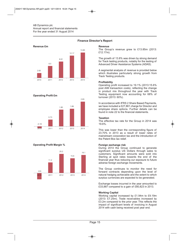









#### **Finance Director's Report**

#### **Revenue**

The Group's revenue grew to £13.85m (2013: £12.17m).

The growth of 13.8% was driven by strong demand for Track testing products, notably for the testing of Advanced Driver Assistance Systems (ADAS).

A segmental analysis of revenue is provided below which illustrates particularly strong growth from Track Testing products.

#### **Profitability**

Operating profit increased to 19.1% (2013:15.6% post AIM transaction costs), reflecting the change in product mix throughout the year with Track Testing equipment now accounting for 68% of turnover (2013: 60%).

In accordance with IFRS 2 Share Based Payments, we have included a £27,861 charge for Director and employee share options. Further details can be found in note 22 to the financial statements.

#### **Taxation**

The effective tax rate for the Group in 2014 was 19.6%.

This was lower than the corresponding figure of 23.70% in 2013 as a result of lower rates of mainstream corporation tax and the introduction of the Patent Box tax relief.

#### **Foreign exchange risk**

During 2014 the Group continued to generate significant surplus US Dollars through sales to customers. Significant amounts were sold into Sterling at spot rates towards the end of the financial year thus reducing our exposure to future adverse foreign exchange movements.

The Group continues to monitor the need for forward contracts depending upon the level of natural hedging achievable and the extent to which surplus currencies are expected to be generated.

Exchange losses incurred in the year amounted to £33,887 compared to a gain of £80,823 in 2013.

#### **Working Capital**

Working capital increased by £1.94m to £9.19m (2013: £7.25m). Trade receivables increased by £3.2m compared to the prior year. This reflects the impact of significant levels of invoicing in August 2014 with cash being received post year end.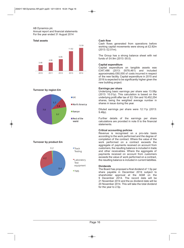#### AB Dynamics plc Annual report and financial statements For the year ended 31 August 2014

#### **Total assets**



### **Turnover by region £m**



### **Turnover by product £m**



#### **Cash flow**

Cash flows generated from operations before working capital movements were strong at £2.82m (2013: £2.01m).

The Group has a strong balance sheet with net funds of £4.9m (2013: £6.0).

#### **Capital expenditure**

Capital expenditure on tangible assets was £347,486 (2013: £678,461) and included approximately £60,000 of costs incurred in respect of the new facility. Capital expenditure in 2015 and 2016 is expected to be significantly higher given the new building project.

#### **Earnings per share**

Underlying basic earnings per share was 13.08p (2013: 10.01p). This calculation is based on the underlying profit after tax of £2.15m and 16,452,254 shares, being the weighted average number in shares in issue during the year.

Diluted earnings per share were 12.11p (2013: 9.48p).

Further details of the earnings per share calculations are provided in note  $8$  to the financial statements.

#### **Critical accounting policies**

Revenue is recognised on a pro-rata basis according to the work performed and the degree of completion of the contract. Where the value of the work performed on a contract exceeds the aggregate of payments received on account from customers, the resulting balance is included in trade and other receivables. Where the aggregate of payments received on account from customers exceeds the value of work performed on a contract, the resulting balance is included in current liabilities.

#### **Dividends**

The Board has proposed a final dividend of 1.5p per share payable in December 2014 subject to shareholder approval at the AGM on the 9 December 2014. The record date will be 21 November 2014 and the ex dividend date will be 20 November 2014. This will take the total dividend for the year to 2.5p.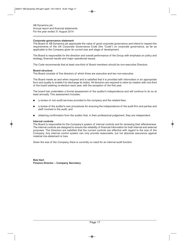#### **Corporate governance statement**

The Board of AB Dynamics plc appreciate the value of good corporate governance and intend to respect the requirements of the UK Corporate Governance Code (the "Code") on corporate governance, as far as applicable to the Company given its current size and stage of development.

The Board is responsible for the direction and overall performance of the Group with emphasis on policy and strategy, financial results and major operational issues.

The Code recommends that at least one-third of Board members should be non-executive Directors.

#### **Board structure**

The Board consists of five directors of which three are executive and two non-executive.

The Board meets as and when required and is satisfied that it is provided with information in an appropriate form and quality to enable it to discharge its duties. All directors are required to retire by rotation with one third of the board seeking re-election each year, with the exception of the first year

The board has undertaken a formal assessment of the auditor's independence and will continue to do so at least annually. This assessment includes:

- a review of non-audit services provided to the company and the related fees;
- a review of the auditor's own procedures for ensuring the independence of the audit firm and parties and staff involved in the audit; and
- obtaining confirmation from the auditor that, in their professional judgement, they are independent.

#### **Internal controls**

The Board is responsible for the Company's system of internal controls and for reviewing their effectiveness. The internal controls are designed to ensure the reliability of financial information for both internal and external purposes. The Directors are satisfied that the current controls are effective with regard to the size of the Company. Any internal control system can only provide reasonable, but not absolute assurance against material mis-statement or loss.

Given the size of the Company, there is currently no need for an internal audit function.

**Rob Hart Finance Director – Company Secretary**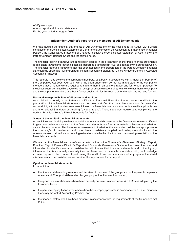#### **Independent Auditor's report to the members of AB Dynamics plc**

We have audited the financial statements of AB Dynamics plc for the year ended 31 August 2014 which comprise of the Consolidated Statement of Comprehensive Income, the Consolidated Statement of Financial Position, the Consolidated Statement of Changes in Equity, the Consolidated Statement of Cash Flows, the Parent Company Balance Sheet and the related notes.

The financial reporting framework that has been applied in the preparation of the group financial statements is applicable law and International Financial Reporting Standards (IFRSs) as adopted by the European Union. The financial reporting framework that has been applied in the preparation of the Parent Company financial statements is applicable law and United Kingdom Accounting Standards (United Kingdom Generally Accepted Accounting Practice).

This report is made solely to the company's members, as a body, in accordance with Chapter 3 of Part 16 of the Companies Act 2006. Our audit work has been undertaken so that we might state to the company's members those matters we are required to state to them in an auditor's report and for no other purpose. To the fullest extent permitted by law, we do not accept or assume responsibility to anyone other than the company and the company's members as a body, for our audit work, for this report, or for the opinions we have formed.

#### **Respective responsibilities of directors and auditors**

As explained more fully in the Statement of Directors' Responsibilities, the directors are responsible for the preparation of the financial statements and for being satisfied that they give a true and fair view. Our responsibility is to audit and express an opinion on the financial statements in accordance with applicable law and International Standards on Auditing (UK and Ireland). Those standards require us to comply with the Auditing Practices Board's Ethical Standards for Auditors.

#### **Scope of the audit of the financial statements**

An audit involves obtaining evidence about the amounts and disclosures in the financial statements sufficient to give reasonable assurance that the financial statements are free from material misstatement, whether caused by fraud or error. This includes an assessment of: whether the accounting policies are appropriate to the company's circumstances and have been consistently applied and adequately disclosed; the reasonableness of significant accounting estimates made by the directors; and the overall presentation of the financial statements.

We read all the financial and non-financial information in the Chairman's Statement, Strategic Report, Directors' Report, Finance Director's Report and Corporate Governance Statement and any other surround information to identify material inconsistencies with the audited financial statements and to identify any information that is apparently materially incorrect based on, or materially inconsistent with, the knowledge acquired by us in the course of performing the audit. If we become aware of any apparent material misstatements or inconsistencies we consider the implications for our report.

#### **Opinion on financial statements**

In our opinion:

- the financial statements give a true and fair view of the state of the group's and of the parent company's affairs as at 31 August 2014 and of the group's profit for the year then ended;
- the group financial statements have been properly prepared in accordance with IFRSs as adopted by the European Union;
- the parent company financial statements have been properly prepared in accordance with United Kingdom Generally Accepted Accounting Practice; and
- the financial statements have been prepared in accordance with the requirements of the Companies Act 2006.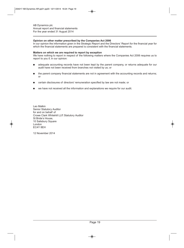#### **Opinion on other matter prescribed by the Companies Act 2006**

In our opinion the information given in the Strategic Report and the Directors' Report for the financial year for which the financial statements are prepared is consistent with the financial statements.

#### **Matters on which we are required to report by exception**

We have nothing to report in respect of the following matters where the Companies Act 2006 requires us to report to you if, in our opinion:

- adequate accounting records have not been kept by the parent company, or returns adequate for our audit have not been received from branches not visited by us; or
- the parent company financial statements are not in agreement with the accounting records and returns; or
- certain disclosures of directors' remuneration specified by law are not made; or
- we have not received all the information and explanations we require for our audit.

Leo Malkin Senior Statutory Auditor for and on behalf of Crowe Clark Whitehill LLP, Statutory Auditor St Bride's House, 10 Salisbury Square London EC4Y 8EH

12 November 2014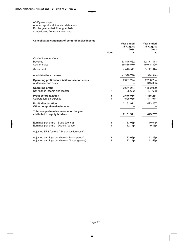### **Consolidated statement of comprehensive income**

|                                                      | <b>Note</b> | Year ended<br>31 August<br>2014<br>£ | Year ended<br>31 August<br>2013<br>£ |
|------------------------------------------------------|-------------|--------------------------------------|--------------------------------------|
| Continuing operations                                |             |                                      |                                      |
| Revenue                                              |             | 13,846,562                           | 12,171,473                           |
| Cost of sales                                        |             | (9,816,570)                          | (9,048,895)                          |
| Gross profit                                         |             | 4,029,992                            | 3,122,578                            |
| Administrative expenses                              |             | (1,378,718)                          | (914, 344)                           |
| <b>Operating profit before AIM transaction costs</b> |             | 2,651,274                            | 2,208,234                            |
| AIM transaction costs                                |             |                                      | (315, 305)                           |
| <b>Operating profit</b>                              |             | 2,651,274                            | 1,892,929                            |
| Net finance income and (costs)                       | 4           | 25,692                               | (27, 698)                            |
| <b>Profit before taxation</b>                        | 5           | 2,676,966                            | 1,865,231                            |
| Corporation tax expense                              | 6           | (525, 055)                           | (441, 974)                           |
| <b>Profit after taxation</b>                         |             | 2,151,911                            | 1,423,257                            |
| Other comprehensive income                           |             |                                      |                                      |
| Total comprehensive income for the year              |             |                                      |                                      |
| attributed to equity holders                         |             | 2,151,911                            | 1,423,257                            |
| Earnings per share - Basic (pence)                   | 8           | 13.08p                               | 10.01p                               |
| Earnings per share - Diluted (pence)                 | 8           | 12.11p                               | 9.48p                                |
| Adjusted EPS (before AIM transaction costs):         |             |                                      |                                      |
| Adjusted earnings per share - Basic (pence)          | 8           | 13.08p                               | 12.23p                               |
| Adjusted earnings per share - Diluted (pence)        | 8           | 12.11p                               | 11.58p                               |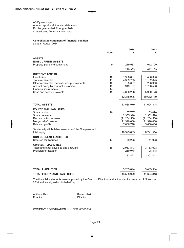#### **Consolidated statement of financial position**

as at 31 August 2014

|                                                        | <b>Note</b> | 2014<br>£      | 2013<br>£      |
|--------------------------------------------------------|-------------|----------------|----------------|
| <b>ASSETS</b>                                          |             |                |                |
| <b>NON-CURRENT ASSETS</b>                              |             |                |                |
| Property, plant and equipment                          | $9\,$       | 1,219,983      | 1,012,109      |
|                                                        |             | 1,219,983      | 1,012,109      |
| <b>CURRENT ASSETS</b>                                  |             |                |                |
| Inventories                                            | 10          | 1,998,831      | 1,486,390      |
| Trade receivables                                      | 11          | 4,339,755      | 1,132,625      |
| Other receivables, deposits and prepayments            | 12          | 185,007        | 266,950        |
| Amount owing by contract customers                     | 13          | 949,197        | 1,736,598      |
| <b>Financial instruments</b>                           | 14          |                |                |
| Cash and cash equivalents                              | 15          | 4,896,206      | 5,990,176      |
|                                                        |             | 12,368,996     | 10,612,739     |
| <b>TOTAL ASSETS</b>                                    |             | 13,588,979     | 11,624,848     |
| <b>EQUITY AND LIABILITIES</b>                          |             |                |                |
| Share capital                                          | 16          | 167,757        | 163,070        |
| Share premium                                          |             | 2,385,910      | 2,302,528      |
| Reconstruction reserve                                 |             | (11, 284, 500) | (11, 284, 500) |
| Merger relief reserve                                  |             | 11,390,000     | 11,390,000     |
| Retained profits                                       |             | 7,666,718      | 5,650,416      |
|                                                        |             |                |                |
| Total equity attributable to owners of the Company and |             |                |                |
| total equity                                           |             | 10,325,885     | 8,221,514      |
| <b>NON-CURRENT LIABILITIES</b>                         |             |                |                |
| Deferred tax liabilities                               | 17          | 79,273         | 41,923         |
| <b>CURRENT LIABILITIES</b>                             |             |                |                |
| Trade and other payables and accruals                  | 18          | 2,913,843      | 3,163,093      |
| Provision for taxation                                 |             | 269,978        | 198,318        |
|                                                        |             | 3,183,821      | 3,361,411      |
|                                                        |             |                |                |

| 3.263.094  | 3,403,334  |
|------------|------------|
| 13.588.979 | 11,624,848 |
|            |            |

The financial statements were approved by the Board of Directors and authorised for issue on 12 November 2014 and are signed on its behalf by:

Anthony Best Robert Hart<br>
Director Director Director

COMPANY REGISTRATION NUMBER: 08393914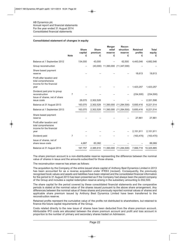#### **Consolidated statement of changes in equity**

|                                                                                                | <b>Note</b>    | <b>Share</b><br>capital<br>£ | <b>Share</b><br>premium<br>£ | <b>Merger</b><br>relief<br>reserve<br>£ | Recon-<br>struction<br>reserve<br>£ | <b>Retained</b><br>profits<br>£ | <b>Total</b><br>equity<br>£ |
|------------------------------------------------------------------------------------------------|----------------|------------------------------|------------------------------|-----------------------------------------|-------------------------------------|---------------------------------|-----------------------------|
| Balance at 1 September 2012                                                                    |                | 134,000                      | 43,000                       |                                         | 62,500                              | 4,443,046                       | 4,682,546                   |
| Group reconstruction                                                                           |                |                              | (43,000)                     |                                         | 11,390,000 (11,347,000)             |                                 |                             |
| Share based payment<br>reserve                                                                 |                |                              |                              |                                         |                                     | 18,613                          | 18,613                      |
| Profit after taxation and<br>total comprehensive<br>income for the financial<br>year           |                |                              |                              |                                         |                                     | 1,423,257                       | 1,423,257                   |
| Dividend paid prior to group<br>reconstruction<br>Issue of shares, net of share<br>issue costs | $\overline{7}$ | 29,070                       | 2,302,528                    |                                         |                                     | (234, 500)                      | (234, 500)<br>2,331,598     |
| Balance at 31 August 2013                                                                      |                | 163,070                      | 2,302,528                    |                                         | 11,390,000 (11,284,500)             | 5,650,416                       | 8,221,514                   |
| Balance at 1 September 2013                                                                    |                | 163,070                      | 2,302,528                    |                                         | 11,390,000 (11,284,500)             | 5,650,416                       | 8,221,514                   |
| Share based payment<br>reserve                                                                 |                |                              |                              |                                         |                                     | 27,861                          | 27,861                      |
| Profit after taxation and<br>total comprehensive<br>income for the financial<br>year           |                |                              |                              |                                         |                                     | 2,151,911                       | 2,151,911                   |
| Dividend paid                                                                                  | $\overline{7}$ |                              |                              |                                         |                                     | (163, 470)                      | (163, 470)                  |
| Issue of shares, net of<br>share issue costs                                                   |                | 4,687                        | 83,382                       |                                         |                                     |                                 | 88,069                      |
| Balance at 31 August 2014                                                                      |                | 167,757                      | 2,385,910                    | 11,390,000                              | (11, 284, 500)                      | 7,666,718                       | 10,325,885                  |
|                                                                                                |                |                              |                              |                                         |                                     |                                 |                             |

The share premium account is a non-distributable reserve representing the difference between the nominal value of shares in issue and the amounts subscribed for those shares.

The reconstruction reserve has arisen as follows:

The acquisition by the Company of the entire issued share capital of Anthony Best Dynamics Limited in 2013 has been accounted for as a reverse acquisition under IFRS3 (revised). Consequently, the previously recognised book values and assets and liabilities have been retained and the consolidated financial information for the period to 31 August 2013 has been presented as if the Company had always been the parent company of the Group and includes a capital redemption reserve arising in the subsidiary amounting to £62,500.

The share capital for the period covered by these consolidated financial statements and the comparative periods is stated at the nominal value of the shares issued pursuant to the above share arrangement. Any differences between the nominal value of these shares and previously reported nominal values of shares and applicable share premium issued by Anthony Best Dynamics Limited have been transferred to the reconstruction reserve.

Retained profits represent the cumulative value of the profits not distributed to shareholders, but retained to finance the future capital requirements of the Group.

Costs related directly to the new issue of shares have been deducted from the share premium account. Attributable IPO costs are allocated between the share premium account and profit and loss account in proportion to the number of primary and secondary shares traded on Admission.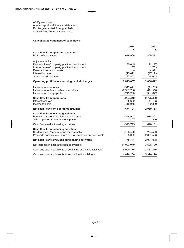#### **Consolidated statement of cash flows**

|                                                                                                                                                                                          | 2014<br>£                               | 2013<br>£                                        |
|------------------------------------------------------------------------------------------------------------------------------------------------------------------------------------------|-----------------------------------------|--------------------------------------------------|
| <b>Cash flow from operating activities</b><br>Profit before taxation                                                                                                                     | 2,676,966                               | 1,865,231                                        |
| Adjustments for:<br>Depreciation of property, plant and equipment<br>Loss on sale of property, plant and equipment<br>Finance income and costs<br>Interest income<br>Share based payment | 135,645<br>257<br>(25, 692)<br>27,861   | 92,127<br>2,753<br>44,821<br>(17, 123)<br>18,613 |
| Operating profit before working capital changes                                                                                                                                          | 2,815,037                               | 2,006,422                                        |
| Increase in inventories<br>Increase in trade and other receivables<br>Increase in other payables                                                                                         | (512, 441)<br>(2,337,786)<br>(249, 250) | (11, 285)<br>(611, 510)<br>1,391,872             |
| <b>Cash flow from operations</b><br>Interest received<br>Income tax paid                                                                                                                 | (284, 440)<br>25,692<br>(416, 046)      | 2,775,499<br>17,123<br>(702, 869)                |
| Net cash flow from operating activities                                                                                                                                                  | (674, 794)                              | 2,089,753                                        |
| <b>Cash flow from investing activities</b><br>Purchase of property, plant and equipment<br>Sale of property, plant and equipment                                                         | (344, 942)<br>1,167                     | (678, 461)<br>310                                |
| Cash flow used in investing activities                                                                                                                                                   | (343, 775)                              | (678, 151)                                       |
| <b>Cash flow from financing activities</b><br>Dividends paid/prior to group reconstruction<br>Proceeds from issue of share capital, net of share issue costs                             | (163, 470)<br>88,069                    | (234, 500)<br>2,331,598                          |
| Net cash flow from/(used in) financing activities                                                                                                                                        | (75, 401)                               | 2,097,098                                        |
| Net increase in cash and cash equivalents                                                                                                                                                | (1,093,970)                             | 3,508,700                                        |
| Cash and cash equivalents at beginning of the financial year                                                                                                                             | 5,990,176                               | 2,481,476                                        |
| Cash and cash equivalents at end of the financial year                                                                                                                                   | 4,896,206                               | 5,990,176                                        |
|                                                                                                                                                                                          |                                         |                                                  |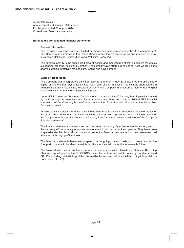#### **Notes to the consolidated financial statements**

#### **1. General information**

The Company is a public company limited by shares and incorporated under the UK Companies Act. The Company is domiciled in the United Kingdom and the registered office and principal place of business is Holt Road, Bradford on Avon, Wiltshire, BA15 1AJ.

The principal activity is the specialised area of design and manufacture of test equipment for vehicle suspension, steering, noise and vibration. The company also offers a range of services which include analysis, design, prototype manufacture, testing and development.

#### **Basis of preparation**

The Company was incorporated on 7 February 2013 and on 8 May 2013 acquired the entire share capital of Anthony Best Dynamics Limited. As a result of this transaction, the ultimate shareholders in Anthony Best Dynamics Limited received shares in the Company in direct proportion to their original shareholdings in Anthony Best Dynamics Limited.

Under IFRS 3 (revised) "Business Combinations", the acquisition of Anthony Best Dynamics Limited by the Company has been accounted for as a reverse acquisition and the consolidated IFRS financial information of the Company is therefore a continuation of the financial information of Anthony Best Dynamics Limited.

As a result any financial information after 8 May 2013 represents consolidated financial information of the Group. Prior to this date, the historical financial information represents the financial information of the Company's only operating subsidiary, Anthony Best Dynamics Limited (see Note 3 of the Company financial statements).

The financial statements are measured and presented in sterling  $(E)$ , unless otherwise stated, which is the currency of the primary economic environment in which the entities operate. They have been prepared under the historical cost convention, except for financial instruments that have been measured at fair value through profit and loss.

The financial statements have been prepared on the going concern basis, which assumes that the Group will continue to be able to meet its liabilities as they fall due for the foreseeable future.

The financial information has been prepared in accordance with International Financial Reporting Standards as adopted by the EU ("IFRS") issued by the International Accounting Standards Board ("IASB"), including related interpretations issued by the International Financial Reporting Interpretations Committee ("IFRIC").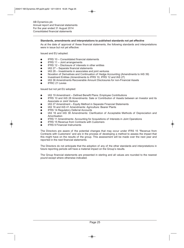#### **Standards, amendments and interpretations to published standards not yet effective**

As at the date of approval of these financial statements, the following standards and interpretations were in issue but not yet effective:

Issued and EU adopted:

- $IFRS 10 Consolidated financial statements$
- $IFRS 11 Joint arrangements$
- IFRS 12 Disclosure of interests in other entities
- IAS 27 Separate financial statements
- IAS 28 Investments in associates and joint ventures
- Novation of Derivatives and Continuation of Hedge Accounting (Amendments to IAS 39)
- Investment Entities (Amendments to IFRS 10, IFRS 12 and IAS 27)
- IAS 36 Amendments Recoverable Amount Disclosures for non-Financial Assets
- **IFRIC 21 Levies**

Issued but not yet EU adopted:

- IAS 19 Amendment Defined Benefit Plans: Employee Contributions
- IFRS 10 and IAS 28 Amendments: Sale or Contribution of Assets between an Investor and its Associate or Joint Venture
- IAS 27 Amendment Equity Method in Separate Financial Statements
- IAS 16 and IAS 41 Amendments: Agriculture: Bearer Plants
- **IFRS 14 Regulatory Deferral Accounts**
- IAS 16 and IAS 38 Amendments: Clarification of Acceptable Methods of Depreciation and Amortisation
- IFRS 11 Amendments: Accounting for Acquisitions of Interests in Joint Operations
- **IFRS 15 Revenue from Contracts with Customers**
- **IFRS 9 Financial Instruments**

The Directors are aware of the potential changes that may occur under IFRS 15 "Revenue from Contracts with Customers" and are in the process of developing a method to assess the impact that this might have on the results of the group. This assessment will be made over the next year and reported in the next financial statements.

The Directors do not anticipate that the adoption of any of the other standards and interpretations in future reporting periods will have a material impact on the Group's results.

The Group financial statements are presented in sterling and all values are rounded to the nearest pound except where otherwise indicated.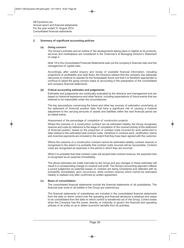#### **2. Summary of significant accounting policies**

#### **(a) Going concern**

The Group's activities and an outline of the developments taking place in relation to its products, services and marketplace are considered in the Chairman's & Managing Director's Statement on page 2.

Note 19 to the Consolidated Financial Statements sets out the company's financial risks and the management of capital risks.

Accordingly, after careful enquiry and review of available financial information, including projections of profitability and cash flows, the Directors believe that the company has adequate resources to continue to operate for the foreseeable future and that it is therefore appropriate to continue to adopt the going concern basis of accounting in the preparation of the consolidated and company financial statements.

#### **(b) Critical accounting estimates and judgements**

Estimates and judgements are continually evaluated by the directors and management and are based on historical experience and other factors, including expectations of future events that are believed to be reasonable under the circumstances.

The key assumptions concerning the future and other key sources of estimation uncertainty at the statement of financial position date, that have a significant risk of causing a material adjustment to the carrying amounts of assets and liabilities within the next financial period are as stated below:

#### *Assessment of the percentage of completion of construction projects*

Where the outcome of a construction contract can be estimated reliably, the Group recognises revenue and costs by reference to the stage of completion of the contract activity at the statement of financial position, based on the proportion of contract costs incurred for work performed to date relative to the estimated total contract costs. Variations in contract work, rectification claims and incentive payments are included to the extent that they have been agreed with the customer.

Where the outcome of a construction contract cannot be estimated reliably, contract revenue is recognised to the extent it is probable that contract costs incurred will be recoverable. Contract costs are recognised as expenses in the period in which they are incurred.

When it is probable that total contract costs will exceed total contract revenue, the expected loss is recognised as an expense immediately.

The above estimates are made internally by the Group and any changes of these estimates will result in a corresponding change on revenue and profit. The Group's accounting approach reflects a sound judgement as potential losses on contract are being considered and reflected with its probability immediately upon occurrence, while contract revenue which cannot be estimated reliably is realised only after confirmed by written agreement.

#### **(c) Basis of consolidation**

The consolidated financial statements include the financial statements of all subsidiaries. The financial year ends of all entities in the Group are coterminous.

The financial statements of subsidiaries are included in the consolidated financial statements from the date on which control over the operating and financial decisions is obtained and cease to be consolidated from the date on which control is transferred out of the Group. Control exists when the Company has the power, directly, or indirectly, to govern the financial and operating policies of an entity so as to obtain economic benefits from its activities.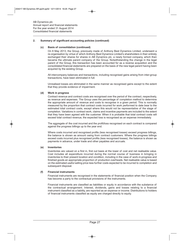#### **(c) Basis of consolidation (continued)**

On 8 May 2013, the Group, previously made of Anthony Best Dynamics Limited, underwent a re-organisation by virtue of which Anthony Best Dynamics Limited's shareholders in their entirety exchanged their shares for shares in AB Dynamics plc, a newly formed company, which then became the ultimate parent company of the Group. Notwithstanding the change in the legal parent of the Group, this transaction has been accounted for as a reverse acquisition and the consolidated financial statements are prepared on the basis of the new legal parent having been acquired by the existing Group.

All intercompany balances and transactions, including recognised gains arising from inter-group transactions, have been eliminated in full.

Unrealised losses are eliminated in the same manner as recognised gains except to the extent that they provide evidence of impairment.

#### **(d) Work in progress**

Contract revenue and contract costs are recognised over the period of the contract, respectively, as revenue and expenses. The Group uses the percentage of completion method to determine the appropriate amount of revenue and costs to recognise in a given period. This is normally measured by the proportion that contract costs incurred for work performed to date bear to the estimated total contract costs, except where this would not be representative of the stage of completion. Variations in contract work, claims and incentive payments are included to the extent that they have been agreed with the customer. When it is probable that total contract costs will exceed total contract revenue, the expected loss is recognised as an expense immediately.

The aggregate of the cost incurred and the profit/loss recognised on each contract is compared against the progress billings up to the year end.

Where costs incurred and recognised profits (less recognised losses) exceed progress billings, the balance is shown as amount owing from contract customers. Where the progress billings exceed costs incurred plus recognised profits (less recognised losses), the balance is shown as payments in advance, under trade and other payables and accruals.

#### **(e) Inventories**

Inventories are valued on a first in, first out basis at the lower of cost and net realisable value. Cost includes all expenditure incurred during the normal course of business in bringing in inventories to their present location and condition, including in the case of work-in-progress and finished goods an appropriate proportion of production overheads. Net realisable value is based on the estimated useful selling price less further costs expected to be incurred to completion and subsequent disposal.

#### **(f) Financial instruments**

Financial instruments are recognised in the statements of financial position when the Company has become a party to the contractual provisions of the instruments.

Financial instruments are classified as liabilities or equity in accordance with the substance of the contractual arrangement. Interest, dividends, gains and losses relating to a financial instrument classified as a liability, are reported as an expense or income. Distributions to holders of financial instruments classified as equity are charged directly to equity.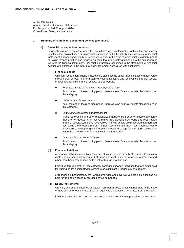#### **(f) Financial instruments (continued)**

Financial instruments are offset when the Group has a legally enforceable right to offset and intends to settle either on a net basis or to realise the asset and settle the liability simultaneously. A financial instrument is recognised initially, at its fair value plus, in the case of a financial instrument not at fair value through profit or loss, transaction costs that are directly attributable to the acquisition or issue of the financial instrument. Financial instruments recognised in the statements of financial position are disclosed in the individual policy statement associated with each item.

#### **(i) Financial assets**

On initial recognition, financial assets are classified as either financial assets at fair value through profit or loss, held-to-maturity investments, loans and receivables financial assets, or available-for-sale financial assets, as appropriate.

● *Financial assets at fair value through profit or loss*

As at the end of the reporting period, there were no financial assets classified under this category.

● *Held-to-maturity investments*

As at the end of the reporting period, there were no financial assets classified under this category.

● *Loans and receivables financial assets*

Trade receivables and other receivables that have fixed or determinable payments that are not quoted in an active market are classified as loans and receivables financial assets. Loans and receivables financial assets are measured at amortised cost using the effective interest method, less any impairment loss. Interest income is recognised by applying the effective interest rate, except for short-term receivables when the recognition of interest would be immaterial.

#### ● *Available-for-sale financial assets*

As at the end of the reporting period, there were no financial assets classified under this category.

#### **(ii) Financial liabilities**

All financial liabilities are initially recorded at fair value plus directly attributable transaction costs and subsequently measured at amortised cost using the effective interest method other than those categorised as fair value through profit or loss.

Fair value through profit or loss category comprises financial liabilities that are either held for trading or are designated to eliminate or significantly reduce a measurement

or recognition inconsistency that would otherwise arise. Derivatives are also classified as held for trading unless they are designated as hedges.

#### **(iii) Equity instruments**

Ordinary shares are classified as equity. Incremental costs directly attributable to the issue of new shares or options are shown in equity as a deduction, net of tax, from proceeds.

Dividends on ordinary shares are recognised as liabilities when approved for appropriation.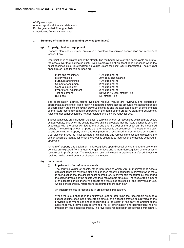#### **(g) Property, plant and equipment**

Property, plant and equipment are stated at cost less accumulated depreciation and impairment losses, if any.

Depreciation is calculated under the straight-line method to write off the depreciable amount of the assets over their estimated useful lives. Depreciation of an asset does not cease when the asset becomes idle or is retired from active use unless the asset is fully depreciated. The principal annual rates used for this purpose are:

| Plant and machinery     | 10% straight line            |
|-------------------------|------------------------------|
| Motor vehicles          | 25% reducing balance         |
| Furniture and fittings  | 10% straight line            |
| Computer equipment      | 25% straight line            |
| General equipment       | 10% straight line            |
| Proprietorial equipment | 20% straight line            |
| Test equipment          | Between 10-20% straight line |
| <b>Buildings</b>        | 5% straight line             |
|                         |                              |

The depreciation method, useful lives and residual values are reviewed, and adjusted if appropriate, at the end of each reporting period to ensure that the amounts, method and periods of depreciation are consistent with previous estimates and the expected pattern of consumption of the future economic benefits embodied in the items of the property, plant and equipment. Assets under construction are not depreciated until they are ready for use.

Subsequent costs are included in the asset's carrying amount or recognised as a separate asset, as appropriate, only when the cost is incurred and it is probable that the future economic benefits associated with the asset will flow to the Group and the cost of the asset can be measured reliably. The carrying amount of parts that are replaced is derecognised. The costs of the dayto-day servicing of property, plant and equipment are recognised in profit or loss as incurred. Cost also comprises the initial estimate of dismantling and removing the asset and restoring the site on which it is located for which the Group is obligated to incur when the asset is acquired, if applicable.

An item of property and equipment is derecognised upon disposal or when no future economic benefits are expected from its use. Any gain or loss arising from derecognition of the asset is recognised in profit or loss. The revaluation reserve included in equity is transferred directly to retained profits on retirement or disposal of the asset.

#### **(h) Impairment**

#### **(i) Impairment of non-financial assets**

The carrying values of assets, other than those to which IAS 36 Impairment of Assets does not apply, are reviewed at the end of each reporting period for impairment when there is an indication that the assets might be impaired. Impairment is measured by comparing the carrying values of the assets with their recoverable amounts. The recoverable amount of the assets is the higher of the assets' fair value less costs to sell and their value in use, which is measured by reference to discounted future cash flow.

An impairment loss is recognised in profit or loss immediately.

When there is a change in the estimates used to determine the recoverable amount, a subsequent increase in the recoverable amount of an asset is treated as a reversal of the previous impairment loss and is recognised to the extent of the carrying amount of the asset that would have been determined (net of amortisation and depreciation) had no impairment loss been recognised. The reversal is recognised in profit or loss immediately.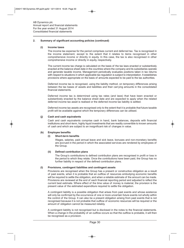#### **(i) Income taxes**

The income tax expense for the period comprises current and deferred tax. Tax is recognised in the income statement, except to the extent that it relates to items recognised in other comprehensive income or directly in equity. In this case, the tax is also recognised in other comprehensive income or directly in equity, respectively.

The current income tax charge is calculated on the basis of the tax laws enacted or substantively enacted at the balance sheet date in the countries where the company and its subsidiaries operate and generate taxable income. Management periodically evaluates positions taken in tax returns with respect to situations in which applicable tax regulation is subject to interpretation. It establishes provisions where appropriate on the basis of amounts expected to be paid to the tax authorities.

Deferred income tax is recognised, using the liability method, on temporary differences arising between the tax bases of assets and liabilities and their carrying amounts in the consolidated financial statements.

Deferred income tax is determined using tax rates (and laws) that have been enacted or substantively enacted by the balance sheet date and are expected to apply when the related deferred income tax asset is realised or the deferred income tax liability is settled.

Deferred income tax assets are recognised only to the extent that it is probable that future taxable profit will be available against which the temporary differences can be utilised.

#### **(j) Cash and cash equivalents**

Cash and cash equivalents comprise cash in hand, bank balances, deposits with financial institutions and short-term, highly liquid investments that are readily convertible to known amounts of cash and which are subject to an insignificant risk of changes in value.

#### **(k) Employee benefits**

#### **(i) Short-term benefits**

Wages, salaries, paid annual leave and sick leave, bonuses and non-monetary benefits are accrued in the period in which the associated services are rendered by employees of the Group.

#### **(ii) Defined contribution plans**

The Group's contributions to defined contribution plans are recognised in profit or loss in the period to which they relate. Once the contributions have been paid, the Group has no further liability in respect of the defined contribution plans.

#### **(l) Provisions, contingent liabilities and contingent assets**

Provisions are recognised when the Group has a present or constructive obligation as a result of past events, when it is probable that an outflow of resources embodying economic benefits will be required to settle the obligation, and when a reliable estimate of the amount can be made. Provisions are reviewed at the end of each financial reporting period and adjusted to reflect the current best estimate. Where effect of the time value of money is material, the provision is the present value of the estimated expenditure required to settle the obligation.

A contingent liability is a possible obligation that arises from past events and whose existence will only be confirmed by the occurrence of one or more uncertain future events not wholly within the control of the Group. It can also be a present obligation arising from past events that is not recognised because it is not probable that outflow of economic resources will be required or the amount of obligation cannot be measured reliably.

A contingent liability is not recognised but is disclosed in the notes to the financial statements. When a change in the probability of an outflow occurs so that the outflow is probable, it will then be recognised as a provision.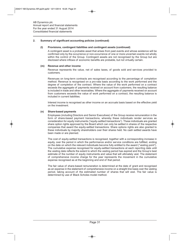#### **(l) Provisions, contingent liabilities and contingent assets (continued)**

A contingent asset is a probable asset that arises from past events and whose existence will be confirmed only by the occurrence or non-occurrence of one or more uncertain events not wholly within the control of the Group. Contingent assets are not recognised by the Group but are disclosed where inflows of economic benefits are probable, but not virtually certain.

#### **(m) Revenue and other income**

Revenue represents the value, net of sales taxes, of goods sold and services provided to customers.

Revenues on long-term contracts are recognised according to the percentage of completion method. Revenue is recognised on a pro-rata basis according to the work performed and the degree of completion of the contract. Where the value of the work performed on a contract exceeds the aggregate of payments received on account from customers, the resulting balance is included in trade and other receivables. Where the aggregate of payments received on account from customers exceeds the value of work performed on a contract, the resulting balance is included in current liabilities.

Interest income is recognised as other income on an accruals basis based on the effective yield on the investment.

#### **(n) Share-based payments**

Employees (including Directors and Senior Executives) of the Group receive remuneration in the form of share-based payment transactions, whereby these individuals render services as consideration for equity instruments ("equity-settled transactions"). These individuals are granted share option rights approved by the Board which can only be settled in shares of the respective companies that award the equity-settled transactions. Share options rights are also granted to these individuals by majority shareholders over their shares held. No cash settled awards have been made or are planned.

The cost of equity-settled transactions is recognised, together with a corresponding increase in equity, over the period in which the performance and/or service conditions are fulfilled, ending on the date on which the relevant individuals become fully entitled to the award ("vesting point"). The cumulative expense recognised for equity-settled transactions at each reporting date until the vesting date reflects the extent to which the vesting period has expired and the Group's best estimate of the number of equity instruments and value that will ultimately vest. The statement of comprehensive income charge for the year represents the movement in the cumulative expense recognised as at the beginning and end of that period.

The fair value of share-based remuneration is determined at the date of grant and recognised as an expense in the statement of comprehensive income on a straight line basis over the vesting period, taking account of the estimated number of shares that will vest. The fair value is determined by use of Black Scholes model method.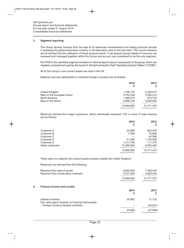#### **3. Segment reporting**

The Group derives revenue from the sale of its advanced measurement and testing products derived in assisting the global automotive industry in the laboratory and on the test track. The income streams are all derived from the utilisation of these products which, in all aspects except details of revenue, are reviewed and managed together within the Group and as such are considered to be the only segment.

Per IFRS 8, the operating segment is based on internal reports about components of the group, which are regularly reviewed and used by the board of directors being the Chief Operating Decision Maker ("CODM").

All of the Group's non-current assets are held in the UK.

Material revenues attributable to individual foreign countries are as follows:

|                            | 2014<br>£  | 2013<br>£  |
|----------------------------|------------|------------|
| United Kingdom             | 1,705,775  | 2,206,917  |
| Rest of the European Union | 3,752,538  | 3,364,214  |
| North America              | 1,388,510  | 973,702    |
| Rest of the World          | 6,999,739  | 5,626,640  |
|                            | 13,846,562 | 12,171,473 |

Revenues derived from major customers, which individually represent 10% or more of total revenue are as follows:

|                 | 2014       | 2013         |
|-----------------|------------|--------------|
|                 | £          | £            |
| Customer A      | 24,989     | 653,976      |
| Customer B      | 7,500      | 70,966       |
| Customer C      |            | 40,566       |
| Customer D      | 41,394     | 1,743,998    |
| Customer E      | 1,411,745  | 111,475      |
| Other customers | 12,360,934 | 9,550,492    |
|                 | 13,846,562 | 12, 171, 473 |
|                 |            |              |

There were no material non-current assets located outside the United Kingdom.

Revenues are derived from the following:

|    | Revenue from sale of goods<br>Revenue from construction contracts        | 9,609,493<br>4,237,069 | 7,346,430<br>4,825,043 |
|----|--------------------------------------------------------------------------|------------------------|------------------------|
|    |                                                                          | 13,846,562             | 12, 171, 473           |
| 4. | Finance income and (costs)                                               |                        |                        |
|    |                                                                          | 2014<br>£              | 2013<br>£              |
|    | Interest received<br>Fair value gains (losses) on financial instruments: | 25,692                 | 17,123                 |
|    | - Foreign currency forward contracts                                     |                        | (44, 821)              |
|    |                                                                          | 25,692                 | (27, 698)              |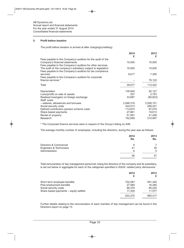#### **5. Profit before taxation**

The profit before taxation is arrived at after charging/(crediting):

|                                                              | 2014<br>£ | 2013<br>£ |
|--------------------------------------------------------------|-----------|-----------|
| Fees payable to the Company's auditors for the audit of the  |           |           |
| Company's financial statements                               | 15,000    | 15,000    |
| Fees payable to the Company's auditors for other services:   |           |           |
| The audit of the company's subsidiary subject to legislation | 15,000    | 15,000    |
| Fees payable to the Company's auditors for tax compliance    |           |           |
| services                                                     | 9,617     | 7,300     |
| Fees payable to the Company's auditors for corporate         |           |           |
| finance services *                                           |           | 76,122    |
| Total                                                        | 39,617    | 113,422   |
|                                                              |           |           |
| Depreciation                                                 | 135,645   | 92,127    |
| Loss/(profit) on sale of assets                              | 257       | 2,753     |
| Realised loss/(gain) on foreign exchange:<br>Staff costs:    | 33,887    | (80, 823) |
| - salaries, allowances and bonuses                           | 2,948,318 | 2,509,101 |
| Social security costs                                        | 324,013   | 269,431   |
| Defined contribution pension scheme costs                    | 113,874   | 87,070    |
| Share based payments                                         | 27,861    | 18,613    |
| Rental of property                                           | 51,591    | 41,458    |
| Research                                                     | 152,069   | 210,997   |
|                                                              |           |           |

\* The Corporate finance services were in respect of the Group's listing on AIM.

The average monthly number of employees, including the directors, during the year was as follows:

|                         | 2014<br>No. | 2013<br>No. |
|-------------------------|-------------|-------------|
| Directors & Commercial  | 9           |             |
| Engineers & Technicians | 41          | 35          |
| Administration          | 6           | 5           |
|                         | 56          | 47          |
|                         |             |             |

Total remuneration of key management personnel, being the directors of the company and its subsidiary, is set out below in aggregate for each of the categories specified in IAS24, related party disclosures:

|                                                          | 2014<br>£ | 2013<br>£ |
|----------------------------------------------------------|-----------|-----------|
|                                                          | 702.087   | 591,340   |
| Short term employee benefits<br>Post employment benefits | 27,580    | 16,280    |
| Social security costs                                    | 86,379    | 66,220    |
| Share based payments - equity settled                    | 17.329    | 11.577    |
|                                                          | 833,375   | 685,417   |

Further details relating to the remuneration of each member of key management can be found in the Directors report on page 13.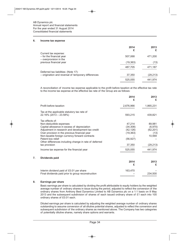#### **6. Income tax expense**

|                                                      | 2014      | 2013<br>£ |
|------------------------------------------------------|-----------|-----------|
| Current tax expense:                                 |           |           |
| $-$ for the financial year<br>- overprovision in the | 507,068   | 471,200   |
| previous financial year                              | (19, 363) | (13)      |
|                                                      | 487,705   | 471,187   |
| Deferred tax liabilities: (Note 17):                 |           |           |
| - origination and reversal of temporary differences  | 37,350    | (29, 213) |
|                                                      | 525,055   | 441,974   |

A reconciliation of income tax expense applicable to the profit before taxation at the effective tax rate to the income tax expense at the effective tax rate of the Group are as follows:

|    |                                                                                                                                                                                                                                                                                                                                                   | 2014<br>£                                                            | 2013<br>£                                                     |
|----|---------------------------------------------------------------------------------------------------------------------------------------------------------------------------------------------------------------------------------------------------------------------------------------------------------------------------------------------------|----------------------------------------------------------------------|---------------------------------------------------------------|
|    | Profit before taxation                                                                                                                                                                                                                                                                                                                            | 2,676,966                                                            | 1,865,231                                                     |
|    | Tax at the applicable statutory tax rate of<br>$22.16\%$ (2013 – 23.58%)                                                                                                                                                                                                                                                                          | 593,215                                                              | 439,821                                                       |
|    | Tax effects of:<br>Non-deductible expenses<br>Capital allowance in excess of depreciation<br>Adjustment in research and development tax credit<br>Over provision in the previous financial year<br>Non-taxable foreign currency forward contracts<br>Patent box relief<br>Other differences including change in rate of deferred<br>tax provision | 47,214<br>(34, 308)<br>(42, 126)<br>(19, 363)<br>(56, 927)<br>37,350 | 89,981<br>(6,970)<br>(62, 201)<br>(13)<br>10,569<br>(29, 213) |
|    | Income tax expense for the financial year                                                                                                                                                                                                                                                                                                         | 525,055                                                              | 441,974                                                       |
| 7. | Dividends paid                                                                                                                                                                                                                                                                                                                                    | 2014<br>£                                                            | 2013<br>£                                                     |
|    | Interim dividend paid of £0.01 per share<br>Final dividends paid prior to group reconstruction                                                                                                                                                                                                                                                    | 163,470                                                              | 234,500                                                       |

#### **8. Earnings per share**

Basic earnings per share is calculated by dividing the profit attributable to equity holders by the weighted average number of ordinary shares in issue during the period, adjusted to reflect the conversion of the ordinary shares from Anthony Best Dynamics Limited to AB Dynamics plc on a 1:1 basis on 8 May 2013 and the subsequent subdivision of shares of each issued ordinary share of £1 each into 100 ordinary shares of £0.01 each.

Diluted earnings per share is calculated by adjusting the weighted average number of ordinary shares outstanding to assume conversion of all dilutive potential shares, adjusted to reflect the conversion and subsequent subdivision of the ordinary shares as mentioned above. The Company has two categories of potentially dilutive shares, namely share options and warrants.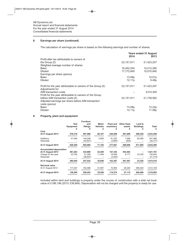#### **8. Earnings per share (continued)**

The calculation of earnings per share is based on the following earnings and number of shares.

|                                                                                          | 2014               | <b>Years ended 31 August</b><br>2013 |  |
|------------------------------------------------------------------------------------------|--------------------|--------------------------------------|--|
| Profit after tax attributable to owners of                                               |                    |                                      |  |
| the Group $(E)$<br>Weighted average number of shares:                                    | £2,151,911         | £1,423,257                           |  |
| Basic                                                                                    | 16,452,254         | 14,212,360                           |  |
| <b>Diluted</b><br>Earnings per share (pence)                                             | 17,772,645         | 15,010,940                           |  |
| <b>Basic</b>                                                                             | 13.08p             | 10.01p                               |  |
| <b>Diluted</b>                                                                           | 12.11p             | 9.48p                                |  |
| Profit for the year attributable to owners of the Group $(E)$<br>Adjustments for:        | £2,151,911         | £1,423,257                           |  |
| AIM transaction costs<br>Profit for the year attributable to owners of the Group         |                    | £315,305                             |  |
| before AIM transaction costs $(E)$<br>Adjusted earnings per share before AIM transaction | £2,151,911         | £1,738,562                           |  |
| costs (pence)<br><b>Basic</b>                                                            | 13.08p             | 12.23p                               |  |
| <b>Diluted</b>                                                                           | 12.11 <sub>p</sub> | 11.58p                               |  |

#### **9. Property, plant and equipment**

| Test<br><b>Equipment</b>                             | <b>Furniture</b><br>and<br>fittings | <b>Motor</b><br><b>Vehicles</b> | <b>Plant and</b><br>machinery | <b>Other fixed</b><br>assets | Land &<br><b>Buildings</b> | Total<br>£                        |
|------------------------------------------------------|-------------------------------------|---------------------------------|-------------------------------|------------------------------|----------------------------|-----------------------------------|
|                                                      |                                     |                                 |                               |                              |                            |                                   |
| 578,310                                              | 497,566                             | 66,107                          | 220,289                       | 581,698                      | 589,320                    | 2,533,290                         |
| 41,940                                               | 149,246<br>(40, 827)                | 4,995                           | 61,222<br>(3,850)             | 7,598<br>(600)               | 82,485                     | 347,486<br>(45, 277)              |
| 620,250                                              | 605,985                             | 71,102                          | 277,661                       | 588,696                      | 671,805                    | 2,835,499                         |
| <b>Accumulated depreciation</b><br>461.263<br>22,782 | 334.980<br>51,359                   | 24,200<br>11,446                | 147,334<br>18,556             | 553,404<br>8,177             | 23,325                     | 1,521,181<br>135,645<br>(41, 310) |
| 484,045                                              | 347,532                             | 35,646                          | 163,387                       | 561,581                      | 23,325                     | 1,615,516                         |
| 117,047                                              | 162,586                             | 41,907                          | 72,955                        | 28,294                       | 589,320                    | 1,012,109                         |
| 136,205                                              | 258,453                             | 35,456                          | 114,274                       | 27,115                       | 648,480                    | 1,219,983                         |
|                                                      | £                                   | (38,807)                        | £                             | £<br>(2,503)                 |                            |                                   |

Included within land and buildings is property under the course of construction with a total net book value of £186,196 (2013: £38,664). Depreciation will not be charged until the property is ready for use.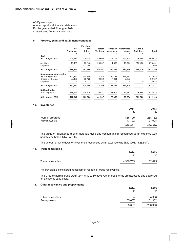#### **9. Property, plant and equipment (continued)**

| <b>Test</b><br><b>Equipment</b> | <b>Furniture</b><br>and<br>fittings | <b>Motor</b><br><b>Vehicles</b> | <b>Plant and</b><br>machinery | Other fixed<br>assets | Land &<br><b>Buildings</b> | Total<br>£          |
|---------------------------------|-------------------------------------|---------------------------------|-------------------------------|-----------------------|----------------------------|---------------------|
|                                 |                                     |                                 |                               |                       |                            |                     |
| 559,877                         | 439,515                             | 45,605                          | 218,709                       | 565,354               | 36,864                     | 1,865,924           |
| 18,433                          | 69,146<br>(11,095)                  | 20,502                          | 1,580                         | 16,344                | 552,456                    | 678,461<br>(11,095) |
| 578,310                         | 497,566                             | 66,107                          | 220,289                       | 581,698               | 589,320                    | 2,533,290           |
| <b>Accumulated depreciation</b> |                                     |                                 |                               |                       |                            |                     |
| 441.113                         | 304.890                             | 15,168                          | 129.733                       | 546,182               |                            | 1,437,086           |
| 20,150                          | 38,122                              | 9,032                           | 17,601                        | 7,222                 |                            | 92,127              |
|                                 | (8,032)                             |                                 |                               |                       |                            | (8,032)             |
| 461,263                         | 334,980                             | 24,200                          | 147,334                       | 553,404               |                            | 1,521,181           |
|                                 |                                     |                                 |                               |                       |                            |                     |
| 118,764                         | 134,625                             | 30,437                          | 88,976                        | 19,172                | 36,864                     | 428,838             |
| 117,047                         | 162,586                             | 41,907                          | 72,955                        | 28,294                | 589,320                    | 1,012,109           |
|                                 |                                     |                                 | £                             |                       |                            |                     |

#### **10. Inventories**

|                                   | 2014                 | 2013<br>£            |
|-----------------------------------|----------------------|----------------------|
| Work in progress<br>Raw materials | 855,709<br>1,143,122 | 288,782<br>1,197,608 |
|                                   | 1,998,831            | 1,486,390            |

The value of inventories (being materials used and consumables) recognised as an expense was £4,012,273 (2013: £3,272,446).

The amount of write down of inventories recognised as an expense was £NIL (2013: £28,504).

#### **11. Trade receivables**

|                   | 2014      | 2013<br>£ |
|-------------------|-----------|-----------|
| Trade receivables | 4,339,755 | 1,132,625 |

No provision is considered necessary in respect of trade receivables.

The Group's normal trade credit term is 30 to 60 days. Other credit terms are assessed and approved on a case by case basis.

#### **12. Other receivables and prepayments**

|                   | 2014<br>£ | 2013<br>£ |
|-------------------|-----------|-----------|
| Other receivables |           | 164,988   |
| Prepayments       | 185,007   | 101,962   |
|                   | 185,007   | 266,950   |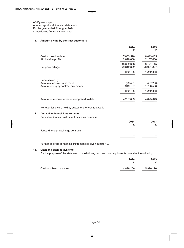#### **13. Amount owing by contract customers**

|     |                                                                                               | 2014<br>£                 | 2013<br>£                |
|-----|-----------------------------------------------------------------------------------------------|---------------------------|--------------------------|
|     | Cost incurred to date<br>Attributable profits                                                 | 7,863,520<br>2,818,838    | 6,013,485<br>2,157,660   |
|     | Progress billings                                                                             | 10,682,358<br>(9,812,622) | 8,171,145<br>(6,921,827) |
|     |                                                                                               | 869,736                   | 1,249,318                |
|     | Represented by:                                                                               |                           |                          |
|     | Amounts received in advance<br>Amount owing by contract customers                             | (79, 461)<br>949,197      | (487, 280)<br>1,736,598  |
|     |                                                                                               | 869,736                   | 1,249,318                |
|     | Amount of contract revenue recognised to date                                                 | 4,237,069                 | 4,825,043                |
|     | No retentions were held by customers for contract work.                                       |                           |                          |
| 14. | <b>Derivative financial instruments</b><br>Derivative financial instrument balances comprise: |                           |                          |
|     |                                                                                               | 2014<br>£                 | 2013<br>£                |
|     | Forward foreign exchange contracts                                                            |                           |                          |
|     |                                                                                               |                           |                          |

Further analysis of financial instruments is given in note 19.

#### **15. Cash and cash equivalents**

For the purpose of the statement of cash flows, cash and cash equivalents comprise the following:

|                        | 2014<br>£ | 2013<br>£ |
|------------------------|-----------|-----------|
| Cash and bank balances | 4,896,206 | 5,990,176 |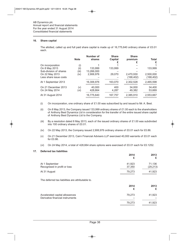#### **16. Share capital**

The allotted, called up and full paid share capital is made up of 16,775,640 ordinary shares of £0.01 each.

|                        | <b>Note</b> | Number of<br>shares | <b>Share</b><br><b>Capital</b> | <b>Share</b><br>premium | <b>Total</b><br>£ |
|------------------------|-------------|---------------------|--------------------------------|-------------------------|-------------------|
| On incorporation       | (i)         |                     |                                |                         |                   |
| On 8 May 2013          | (iii)       | 133,999             | 133,999                        |                         | 133,999           |
| Sub-division of shares | (iii)       | 13,266,000          |                                |                         |                   |
| On 22 May 2013         | (iv)        | 2,906,976           | 29,070                         | 2,470,930               | 2,500,000         |
| Less share issue costs |             |                     |                                | (168, 402)              | (168, 402)        |
| At 1 September 2013    |             | 16,306,976          | 163,070                        | 2,302,528               | 2,465,598         |
| On 21 December 2013    | (v)         | 40,000              | 400                            | 34,000                  | 34,400            |
| On 24 May 2014         | (vi)        | 428,664             | 4,287                          | 49.382                  | 53,669            |
| At 31 August 2014      |             | 16,775,640          | 167,757                        | 2,385,910               | 2,553,667         |

- (i) On incorporation, one ordinary share of £1.00 was subscribed by and issued to Mr. A. Best.
- (ii) On 8 May 2013, the Company issued 133,999 ordinary shares of £1.00 each to the shareholders of Anthony Best Dynamics Ltd in consideration for the transfer of the entire issued share capital of Anthony Best Dynamics Ltd to the Company.
- (iii) By a resolution dated 8 May 2013, each of the issued ordinary shares of £1.00 was subdivided into 100 ordinary shares of £0.01.
- (iv) On 22 May 2013, the Company issued 2,906,976 ordinary shares of £0.01 each for £0.86.
- (v) On 21 December 2013, Cairn Financial Advisers LLP exercised 40,000 warrants of £0.01 each for £0.86.
- (vi) On 24 May 2014, a total of 428,664 share options were exercised of £0.01 each for £0.1252.

#### **17. Deferred tax liabilities**

|                                                                    | 2014<br>£        | 2013<br>£           |
|--------------------------------------------------------------------|------------------|---------------------|
| At 1 September<br>Recognised in profit or loss                     | 41,923<br>37,350 | 71,136<br>(29, 213) |
| At 31 August                                                       | 79,273           | 41,923              |
| The deferred tax liabilities are attributable to.                  |                  |                     |
|                                                                    | 2014<br>£        | 2013<br>£           |
| Accelerated capital allowances<br>Derivative financial instruments | 79,273           | 41,923              |
|                                                                    | 79,273           | 41,923              |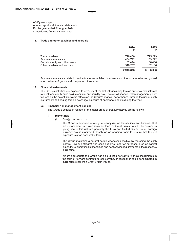#### **18. Trade and other payables and accruals**

|                                 | 2014<br>£ | 2013<br>£ |
|---------------------------------|-----------|-----------|
| Trade payables                  | 798.460   | 795,229   |
| Payments in advance             | 464,712   | 1,139,292 |
| Social security and other taxes | 132,414   | 66,436    |
| Other payables and accruals     | 1,518,257 | 1,162,136 |
|                                 | 2,913,843 | 3,163,093 |

Payments in advance relate to contractual revenue billed in advance and the income to be recognised upon delivery of goods and completion of services.

#### **19. Financial instruments**

The Group's activities are exposed to a variety of market risk (including foreign currency risk, interest rate risk and equity price risk), credit risk and liquidity risk. The overall financial risk management policy focuses on the potential adverse effects on the Group's financial performance, through the use of such instruments as hedging foreign exchange exposure at appropriate points during the year.

#### **(a) Financial risk management policies**

The Group's policies in respect of the major areas of treasury activity are as follows:

#### **(i) Market risk**

#### (i) *Foreign currency risk*

The Group is exposed to foreign currency risk on transactions and balances that are denominated in currencies other than the Great Britain Pound. The currencies giving rise to this risk are primarily the Euro and United States Dollar. Foreign currency risk is monitored closely on an ongoing basis to ensure that the net exposure is at an acceptable level.

The Group maintains a natural hedge whenever possible, by matching the cash inflows (revenue stream) and cash outflows used for purposes such as capital expenditure, operational expenditure and debt service requirements in the respective currencies.

Where appropriate the Group has also utilised derivative financial instruments in the form of forward contracts to sell currency in respect of sales denominated in currencies other than Great Britain Pound.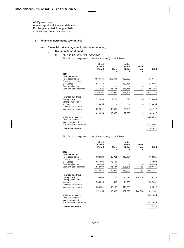#### **(a) Financial risk management policies (continued)**

#### **(i) Market risk (continued)**

(i) *Foreign currency risk (continued)*

The Group's exposure to foreign currency is as follows:

|                                                                   | <b>Great</b><br><b>Britain</b><br>Pound<br>£ | Euro<br>£ | <b>United</b><br><b>States</b><br><b>Dollar</b><br>£ | Japan<br>Yen<br>£ | Total<br>£ |
|-------------------------------------------------------------------|----------------------------------------------|-----------|------------------------------------------------------|-------------------|------------|
| 2014                                                              |                                              |           |                                                      |                   |            |
| <b>Financial assets</b>                                           |                                              |           |                                                      |                   |            |
| Trade receivables                                                 | 3,943,764                                    | 263,394   | 132,597                                              |                   | 4,339,755  |
| Construction contract                                             |                                              |           |                                                      |                   |            |
| receivables<br>Other receivables                                  | 611,413                                      |           | 337,784                                              |                   | 949,197    |
| Cash and bank balances                                            | 4,214,024                                    | 405,695   | 276,415                                              | 72                | 4,896,206  |
|                                                                   |                                              |           |                                                      |                   |            |
|                                                                   | 8,769,201                                    | 669,089   | 746,796                                              | 72                | 10,185,158 |
| <b>Financial liabilities</b><br>Trade payables                    | 777,898                                      | 19,787    | 775                                                  |                   | 798,460    |
| Other payables and<br>accruals<br>Construction contract           | 918,455                                      |           |                                                      |                   | 918,455    |
| payments on account                                               | 327,241                                      | 65,580    | 71,891                                               |                   | 464,712    |
|                                                                   | 2,023,594                                    | 85,367    | 72,666                                               |                   | 2,181,627  |
| Net financial assets<br>Less: Net financial<br>assets denominated |                                              |           |                                                      |                   | 8,003,531  |
| in the functional currency                                        |                                              |           |                                                      |                   | 6,745,607  |
| <b>Currency exposure</b>                                          |                                              |           |                                                      |                   | 1,257,924  |
|                                                                   |                                              |           |                                                      |                   |            |

The Group's exposure to foreign currency is as follows:

|                                                                   | Great<br><b>Britain</b> |         | <b>United</b><br><b>States</b> | Japan   |              |
|-------------------------------------------------------------------|-------------------------|---------|--------------------------------|---------|--------------|
|                                                                   | Pound                   | Euro    | <b>Dollar</b>                  | Yen     | <b>Total</b> |
|                                                                   | £                       | £       | £                              | £       | £            |
| 2013                                                              |                         |         |                                |         |              |
| <b>Financial assets</b>                                           |                         |         |                                |         |              |
| Trade receivables                                                 | 892,523                 | 129,921 | 110,181                        |         | 1,132,625    |
| Construction contract                                             |                         |         |                                |         |              |
| receivables                                                       | 1,657,894               | 78,704  |                                |         | 1,736,598    |
| Other receivables                                                 | 164,988                 |         |                                |         | 164,988      |
| Cash and bank balances                                            | 5,572,609               | 191,637 | 225,848                        | 82      | 5,990,176    |
|                                                                   | 8,288,014               | 400,262 | 336,029                        | 82      | 9,024,387    |
| <b>Financial liabilities</b>                                      |                         |         |                                |         |              |
| Trade payables                                                    | 536,608                 | 166     | 11,821                         | 246,634 | 795,229      |
| Other payables and                                                |                         |         |                                |         |              |
| accruals                                                          | 745,816                 | 580     | 11,065                         |         | 757,461      |
| Construction contract                                             |                         |         |                                |         |              |
| payments on account                                               | 988,931                 | 36,152  | 114,209                        |         | 1,139,292    |
|                                                                   | 2,271,355               | 36,898  | 137,095                        | 246,634 | 2,691,982    |
| Net financial assets<br>Less: Net financial<br>assets denominated |                         |         |                                |         | 6,332,405    |
| in the functional currency                                        |                         |         |                                |         | 6,016,659    |
| <b>Currency exposure</b>                                          |                         |         |                                |         | 315,746      |
|                                                                   |                         |         |                                |         |              |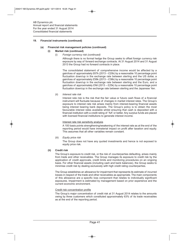#### **(a) Financial risk management policies (continued)**

- **(i) Market risk (continued)**
	- (i) *Foreign currency risk (continued)*

Although there is no formal hedge the Group seeks to offset foreign currency risk exposure by way of forward exchange contracts. At 31 August 2014 and 31 August 2013 the Group had no forward contracts in place.

The consolidated statement of comprehensive income would be affected by a gain/loss of approximately £67k (2013 – £20k) by a reasonable 10 percentage point fluctuation down/up in the exchange rate between sterling and the US dollar, a gain/loss of approximately £58k (2013 – £36k) by a reasonable 10 percentage point fluctuation down/up in the exchange rate between sterling and the Euro, and a gain/loss of approximately  $ENil$  (2013 –  $E25k$ ) by a reasonable 10 percentage point fluctuation down/up in the exchange rate between sterling and the Japanese Yen.

(ii) *Interest rate risk*

Interest rate risk is the risk that the fair value or future cash flows of a financial instrument will fluctuate because of changes in market interest rates. The Group's exposure to interest rate risk arises mainly from interest-bearing financial assets being interest bearing bank deposits. The Group's policy is to obtain the most favourable interest rates available whilst ensuring that cash is deposited with a financial institution with a credit rating of "AA" or better. Any surplus funds are placed with licensed financial institutions to generate interest income.

#### Interest rate risk sensitivity analysis

A 100 basis points strengthening/weakening of the interest rate as at the end of the reporting period would have immaterial impact on profit after taxation and equity. This assumes that all other variables remain constant.

(iii) *Equity price risk*

The Group does not have any quoted investments and hence is not exposed to equity price risk.

#### **(ii) Credit risk**

The Group's exposure to credit risk, or the risk of counterparties defaulting, arises mainly from trade and other receivables. The Group manages its exposure to credit risk by the application of credit approvals, credit limits and monitoring procedures on an ongoing basis. For other financial assets (including cash and bank balances), the Group seeks to minimise credit risk by dealing exclusively with high credit rating counterparties.

The Group establishes an allowance for impairment that represents its estimate of incurred losses in respect of the trade and other receivables as appropriate. The main components of this allowance are a specific loss component that relates to individually significant exposures. Impairment is estimated by management based on prior experience and the current economic environment.

#### Credit risk concentration profile

The Group's major concentration of credit risk at 31 August 2014 relates to the amounts owing by three customers which constituted approximately 63% of its trade receivables as at the end of the reporting period.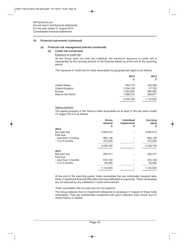#### **(a) Financial risk management policies (continued)**

#### **(ii) Credit risk (continued)**

#### Exposure to credit risk

As the Group does not hold any collateral, the maximum exposure to credit risk is represented by the carrying amount of the financial assets as at the end of the reporting period.

The exposure of credit risk for trade receivables by geographical region is as follows:

|                      | 2014<br>£ | 2013<br>£ |
|----------------------|-----------|-----------|
| <b>United States</b> | 394,775   | 120,369   |
| United Kingdom       | 1,634,138 | 37,720    |
| Europe               | 1,022,830 | 590,565   |
| Rest of the World    | 1,288,012 | 383,971   |
|                      | 4,339,755 | 1,132,625 |

#### Ageing analysis

The ageing analysis of the Group's trade receivables as at each of the two years ended 31 August 2014 is as follows:

|                           | <b>Gross</b><br>amount<br>£ | <b>Individual</b><br>impairment<br>£ | Carrying<br>value<br>£ |
|---------------------------|-----------------------------|--------------------------------------|------------------------|
| 2014                      |                             |                                      |                        |
| Not past due<br>Past due: | 3,004,612                   |                                      | 3,004,612              |
| $-$ less than 3 months    | 962,138                     |                                      | 962,138                |
| $-3$ to 6 months          | 373,005                     |                                      | 373,005                |
|                           | 4,339,755                   |                                      | 4,339,755              |
| 2013                      |                             |                                      |                        |
| Not past due<br>Past due: | 492,011                     |                                      | 492,011                |
| $-$ less than 3 months    | 575,149                     |                                      | 575,149                |
| $-3$ to 6 months          | 65,465                      |                                      | 65,465                 |
|                           | 1,132,625                   |                                      | 1,132,625              |

At the end of the reporting period, trade receivables that are individually impaired were those in significant financial difficulties and have defaulted on payments. These receivables are not secured by any collateral or credit enhancement.

#### *Trade receivables that are past due but not impaired*

The Group believes that no impairment allowance is necessary in respect of these trade receivables. They are substantially companies with good collection track record and no recent history of default.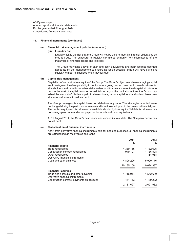#### **(a) Financial risk management policies (continued)**

#### **(iii) Liquidity risk**

Liquidity risk is the risk that the Group will not be able to meet its financial obligations as they fall due. The exposure to liquidity risk arises primarily from mismatches of the maturities of financial assets and liabilities.

The Group maintains a level of cash and cash equivalents and bank facilities deemed adequate by the management to ensure as far as possible, that it will have sufficient liquidity to meet its liabilities when they fall due.

#### **(b) Capital risk management**

Capital is defined as the total equity of the Group. The Group's objectives when managing capital are to safeguard the Group's ability to continue as a going concern in order to provide returns for shareholders and benefits for other stakeholders and to maintain an optimal capital structure to reduce the cost of capital. In order to maintain or adjust the capital structure, the Group may adjust the amount of dividends paid to shareholders, return capital to shareholders, issue new shares or sell assets to reduce debt.

The Group manages its capital based on debt-to-equity ratio. The strategies adopted were unchanged during the period under review and from those adopted in the previous financial year. The debt-to-equity ratio is calculated as net debt divided by total equity. Net debt is calculated as borrowings plus trade and other payables less cash and cash equivalents.

At 31 August 2014, the Group's cash resources exceed its total debt. The Company hence has no net debt.

#### **(c) Classification of financial instruments**

Apart from derivative financial instruments held for hedging purposes, all financial instruments are categorised as receivables and loans.

|                                           | 2014<br>£  | 2013<br>£ |
|-------------------------------------------|------------|-----------|
| <b>Financial assets</b>                   |            |           |
| Trade receivables                         | 4,339,755  | 1,132,625 |
| Construction contract receivables         | 949,197    | 1,736,598 |
| Other receivables                         |            | 164,988   |
| Derivative financial instruments          |            |           |
| Cash and bank balances                    | 4,896,206  | 5,990,176 |
|                                           | 10,185,158 | 9,024,387 |
| <b>Financial liabilities</b>              |            |           |
| Trade and accruals and other payables     | 1,716,914  | 1,552,690 |
| Derivative financial instruments          |            |           |
| Construction contract payments on account | 464,713    | 1,139,292 |
|                                           | 2,181,627  | 2,691,982 |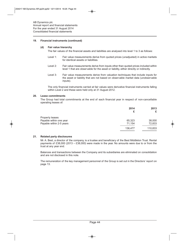#### **(d) Fair value hierarchy**

The fair values of the financial assets and liabilities are analysed into level 1 to 3 as follows:

- Level 1: Fair value measurements derive from quoted prices (unadjusted) in active markets for identical assets or liabilities.
- Level 2: Fair value measurements derive from inputs other than quoted prices included within level 1 that are observable for the asset or liability, either directly or indirectly.
- Level 3: Fair value measurements derive from valuation techniques that include inputs for the asset or liability that are not based on observable market data (unobservable inputs).

The only financial instruments carried at fair values were derivative financial instruments falling within Level 2 and these were held only at 31 August 2012.

#### **20. Lease commitments**

The Group had total commitments at the end of each financial year in respect of non-cancellable operating leases of:

|                          | 2014<br>£ | 2013<br>£ |
|--------------------------|-----------|-----------|
| Property leases          |           |           |
| Payable within one year  | 65,323    | 38,000    |
| Payable within 2-5 years | 71,154    | 72,833    |
|                          | 136,477   | 110,833   |

#### **21. Related party disclosures**

Mr. A. Best, a director of the company, is a trustee and beneficiary of the Best Middleton Trust. Rental payments of £38,000 (2013 – £38,000) were made in the year. No amounts were due to or from the trust at any year end.

Balances and transactions between the Company and its subsidiaries are eliminated on consolidation and are not disclosed in this note.

The remuneration of the key management personnel of the Group is set out in the Directors' report on page 13.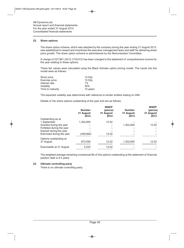#### **22. Share options**

The share option scheme, which was adopted by the company during the year ending 31 August 2013, was established to reward and incentivise the executive management team and staff for delivering share price growth. The share option scheme is administered by the Remuneration Committee.

A charge of £27,861 (2013: £18,613) has been charged to the statement of comprehensive income for the year relating to these options.

These fair values were calculated using the Black Scholes option pricing model. The inputs into the model were as follows:

| 12.52p   |
|----------|
| 12.52p   |
| $1\%$    |
| 30%      |
| 10 years |
|          |

The expected volatility was determined with reference to similar entities trading on AIM.

Details of the share options outstanding at the year end are as follows:

|                           |                                    | <b>WAEP</b>                  |                                    | <b>WAEP</b>                  |
|---------------------------|------------------------------------|------------------------------|------------------------------------|------------------------------|
|                           | <b>Number</b><br>31 August<br>2014 | (pence)<br>31 August<br>2014 | <b>Number</b><br>31 August<br>2013 | (pence)<br>31 August<br>2013 |
| Outstanding as at         |                                    |                              |                                    |                              |
| 1 September               | 1,302,600                          | 12.52                        |                                    |                              |
| Granted during the year   |                                    |                              | 1,302,600                          | 12.52                        |
| Forfeited during the year |                                    |                              |                                    |                              |
| Expired during the year   |                                    |                              |                                    |                              |
| Exercised during the year | (428, 664)                         | 12.52                        |                                    |                              |
| Options outstanding at    |                                    |                              |                                    |                              |
| 31 August                 | 873,936                            | 12.52                        | 1,302,600                          | 12.52                        |
| Exercisable at 31 August  | 5,533                              | 12.52                        |                                    |                              |

The weighted average remaining contractual life of the options outstanding at the statement of financial position date is 8.5 years.

#### **22. Ultimate controlling party**

There is no ultimate controlling party.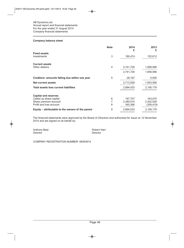#### **Company balance sheet**

| <b>Note</b> | 2014      | 2013<br>£                 |
|-------------|-----------|---------------------------|
| 3           | 180,474   | 152,613                   |
|             |           |                           |
| 4           | 2,741,726 | 1,958,566                 |
|             | 2,741,726 | 1,958,566                 |
| 5           | 28,167    | 5,000                     |
|             | 2,713,559 | 1,953,566                 |
|             | 2,894,033 | 2,106,179                 |
|             |           |                           |
| 6           | 167,757   | 163,070                   |
|             |           | 2,302,528                 |
|             |           | (359, 419)                |
| 9           | 2,894,033 | 2,106,179                 |
|             | 8         | £<br>2,385,910<br>340,366 |

The financial statements were approved by the Board of Directors and authorised for issue on 12 November 2014 and are signed on its behalf by:

Anthony Best **Robert Hart** Robert Hart<br>
Director **Director** Director

COMPANY REGISTRATION NUMBER: 08393914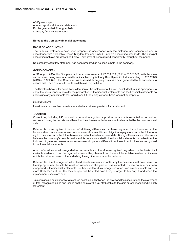#### **Notes to the Company financial statements**

#### **BASIS OF ACCOUNTING**

The financial statements have been prepared in accordance with the historical cost convention and in accordance with applicable United Kingdom law and United Kingdom accounting standards. The principal accounting policies are described below. They have all been applied consistently throughout the period.

No company cash flow statement has been prepared as no cash is held in the company.

#### **GOING CONCERN**

At 31 August 2014, the Company had net current assets of £2,713,559 (2013 – £1,953,566) with the main current asset being amounts owed from its subsidiary Anthony Best Dynamics Ltd, amounting to £2,732,973  $(2013 - \text{\textsterling}1,952,827)$ . The Company has assessed its ongoing costs with cash generated by its subsidiary to ensure that it can continue to settle its debts as they fall due.

The Directors have, after careful consideration of the factors set out above, concluded that it is appropriate to adopt the going concern basis for the preparation of the financial statements and the financial statements do not include any adjustments that would result if the going concern basis was not appropriate.

#### **INVESTMENTS**

Investments held as fixed assets are stated at cost less provision for impairment.

#### **TAXATION**

Current tax, including UK corporation tax and foreign tax, is provided at amounts expected to be paid (or recovered) using the tax rates and laws that have been enacted or substantively enacted by the balance sheet date.

Deferred tax is recognised in respect of all timing differences that have originated but not reversed at the balance sheet date where transactions or events that result in an obligation to pay more tax in the future or a right to pay less tax in the future have occurred at the balance sheet date. Timing differences are differences between the company's taxable profits and its results as stated in the financial statements that arise from the inclusion of gains and losses in tax assessments in periods different from those in which they are recognised in the financial statements.

A net deferred tax asset is regarded as recoverable and therefore recognised only when, on the basis of all available evidence, it can be regarded as more likely than not that there will be suitable taxable profits from which the future reversal of the underlying timing differences can be deducted.

Deferred tax is not recognised when fixed assets are revalued unless by the balance sheet date there is a binding agreement to sell the revalued assets and the gain or loss expected to arise on sale has been recognised in the financial statements. Neither is deferred tax recognised when fixed assets are sold and it is more likely than not that the taxable gain will be rolled over, being charged to tax only if and when the replacement assets are sold.

Taxation arising on disposal of a revalued asset is split between the profit and loss account and the statement of total recognised gains and losses on the basis of the tax attributable to the gain or loss recognised in each statement.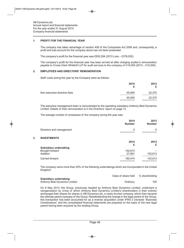#### **1. PROFIT FOR THE FINANCIAL YEAR**

The company has taken advantage of section 408 of the Companies Act 2006 and, consequently, a profit and loss account for the company alone has not been presented.

The company's profit for the financial year was £835,394 (2013 Loss – £378,032).

The company's profit for the financial year has been arrived at after charging auditor's remuneration payable to Crowe Clark Whitehill LLP for audit services to the company of £15,000 (2013 – £15,000).

#### **2. EMPLOYEES AND DIRECTORS' REMUNERATION**

Staff costs during the year by the Company were as follows:

| 2014   | 2013<br>£ |
|--------|-----------|
| 65,955 | 22,375    |
| 65,955 | 22,375    |
|        |           |

The executive management team is remunerated by the operating subsidiary Anthony Best Dynamics Limited. Details of their remuneration is in the Directors' report on page 13.

The average number of employees of the company during the year was:

|    |                               | 2014<br><b>Number</b> | 2013<br><b>Number</b> |
|----|-------------------------------|-----------------------|-----------------------|
|    | Directors and management      | 5                     | 5                     |
| 3. | <b>INVESTMENTS</b>            |                       |                       |
|    |                               | 2014<br>£             | 2013<br>£             |
|    | <b>Subsidiary undertaking</b> |                       |                       |
|    | Brought forward               | 152,613               |                       |
|    | Addition                      | 27,861                | 152,613               |
|    | Carried forward               | 180,474               | 152,613               |

The company owns more than 20% of the following undertakings which are incorporated in the United Kingdom:

|                               | Class of share held | % shareholding |
|-------------------------------|---------------------|----------------|
| Subsidiary undertaking:       |                     |                |
| Anthony Best Dynamics Limited | Ordinary            | 100            |

On 8 May 2013, the Group, previously headed by Anthony Best Dynamics Limited, underwent a reorganisation by virtue of which Anthony Best Dynamics Limited's shareholders in their entirety exchanged their shares for shares in AB Dynamics plc, a newly formed company, which then became the ultimate parent company of the Group. Notwithstanding the change in the legal parent of the Group, this transaction has been accounted for as a reverse acquisition under IFRS 3 (revised) "Business Combinations" and the consolidated financial statements are prepared on the basis of the new legal parent having been acquired by the existing Group.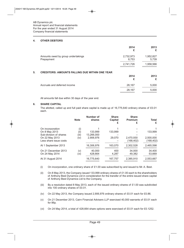#### **4. OTHER DEBTORS**

|    |                                                       | 2014<br>£          | 2013<br>£          |
|----|-------------------------------------------------------|--------------------|--------------------|
|    | Amounts owed by group undertakings<br>Prepayment      | 2,732,973<br>8,753 | 1,952,827<br>5,739 |
|    |                                                       | 2,741,726          | 1,958,566          |
| 5. | <b>CREDITORS: AMOUNTS FALLING DUE WITHIN ONE YEAR</b> |                    |                    |
|    |                                                       | 2014<br>£          | 2013<br>£          |
|    | Accruals and deferred income                          | 28,167             | 5,000              |
|    |                                                       | 28,167             | 5,000              |

All amounts fall due within 30 days of the year end.

#### **6. SHARE CAPITAL**

The allotted, called up and full paid share capital is made up of 16,775,640 ordinary shares of £0.01 each.

|                                                                                                         | <b>Note</b>                   | Number of<br>shares                | <b>Share</b><br>Capital<br>£ | <b>Share</b><br><b>Premium</b><br>£ | <b>Total</b><br>£                  |
|---------------------------------------------------------------------------------------------------------|-------------------------------|------------------------------------|------------------------------|-------------------------------------|------------------------------------|
| On incorporation<br>On 8 May 2013<br>Sub-division of shares<br>On 22 May 2013<br>Less share issue costs | (i)<br>(iii)<br>(iii)<br>(iv) | 133,999<br>13,266,000<br>2,906,976 | 133,999<br>29,070            | 2,470,930<br>(168, 402)             | 133,999<br>2,500,000<br>(168, 402) |
| At 1 September 2013                                                                                     |                               | 16,306,976                         | 163,070                      | 2,302,528                           | 2,465,598                          |
| On 21 December 2013<br>On 24 May 2014                                                                   | (v)<br>(vi)                   | 40,000<br>428,664                  | 400<br>4,287                 | 34,000<br>49,382                    | 34,400<br>53,669                   |
| At 31 August 2014                                                                                       |                               | 16,775,640                         | 167,757                      | 2,385,910                           | 2,553,667                          |

- (i) On incorporation, one ordinary share of £1.00 was subscribed by and issued to Mr. A. Best.
- (ii) On 8 May 2013, the Company issued 133,999 ordinary shares of £1.00 each to the shareholders of Anthony Best Dynamics Ltd in consideration for the transfer of the entire issued share capital of Anthony Best Dynamics Ltd to the Company.
- (iii) By a resolution dated 8 May 2013, each of the issued ordinary shares of £1.00 was subdivided into 100 ordinary shares of £0.01.
- (iv) On 22 May 2013, the Company issued 2,906,976 ordinary shares of £0.01 each for £0.86.
- (v) On 21 December 2013, Cairn Financial Advisers LLP exercised 40,000 warrants of £0.01 each for 86p.
- (vi) On 24 May 2014, a total of 428,664 share options were exercised of £0.01 each for £0.1252.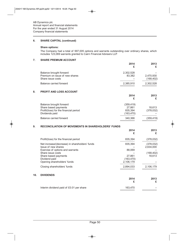#### **6. SHARE CAPITAL (continued)**

#### **Share options:**

The Company had a total of 997,005 options and warrants outstanding over ordinary shares, which includes 123,069 warrants granted to Cairn Financial Advisers LLP.

#### **7. SHARE PREMIUM ACCOUNT**

|                                                                                | 2014                | 2013<br>£               |
|--------------------------------------------------------------------------------|---------------------|-------------------------|
| Balance brought forward<br>Premium on issue of new shares<br>Share issue costs | 2,302,528<br>83,382 | 2,470,930<br>(168, 402) |
| Balance carried forward                                                        | 2,385,910           | 2,302,528               |

#### **8. PROFIT AND LOSS ACCOUNT**

|                                        | 2014       | 2013<br>£  |
|----------------------------------------|------------|------------|
| Balance brought forward                | (359, 419) |            |
| Share based payments                   | 27.861     | 18,613     |
| Profit/(loss) for the financial period | 835,394    | (378, 032) |
| Dividends paid                         | (163, 470) |            |
| Balance carried forward                | 340.366    | (359, 419) |

#### **9. RECONCILIATION OF MOVEMENTS IN SHAREHOLDERS' FUNDS**

|                                                                                                                                                                                                        | 2014<br>£                                              | 2013<br>£                                       |
|--------------------------------------------------------------------------------------------------------------------------------------------------------------------------------------------------------|--------------------------------------------------------|-------------------------------------------------|
| Profit/(loss) for the financial period                                                                                                                                                                 | 835,394                                                | (378, 032)                                      |
| Net increase/(decrease) in shareholders' funds<br>Issue of new shares<br>Exercise of options and warrants<br>Share issue costs<br>Share based payments<br>Dividend paid<br>Opening shareholders' funds | 835,394<br>88,069<br>27,861<br>(163, 470)<br>2,106,179 | (378, 032)<br>2,634,000<br>(168, 402)<br>18,613 |
| Closing shareholders' funds                                                                                                                                                                            | 2,894,033                                              | 2,106,179                                       |
| <b>DIVIDENDS</b><br>10.                                                                                                                                                                                | 2014<br>£                                              | 2013<br>£                                       |
| Interim dividend paid of £0.01 per share                                                                                                                                                               | 163,470                                                |                                                 |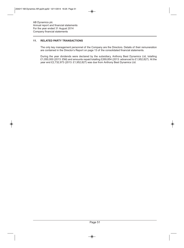#### **11. RELATED PARTY TRANSACTIONS**

The only key management personnel of the Company are the Directors. Details of their remuneration are contained in the Director's Report on page 13 of the consolidated financial statements.

During the year dividends were declared by the subsidiary, Anthony Best Dynamics Ltd, totalling £1,050,000 (2013: £Nil) and amounts repaid totalling £269,854 (2013: advanced to £1,952,827). At the year end £2,732,973 (2013: £1,952,827) was due from Anthony Best Dynamics Ltd.